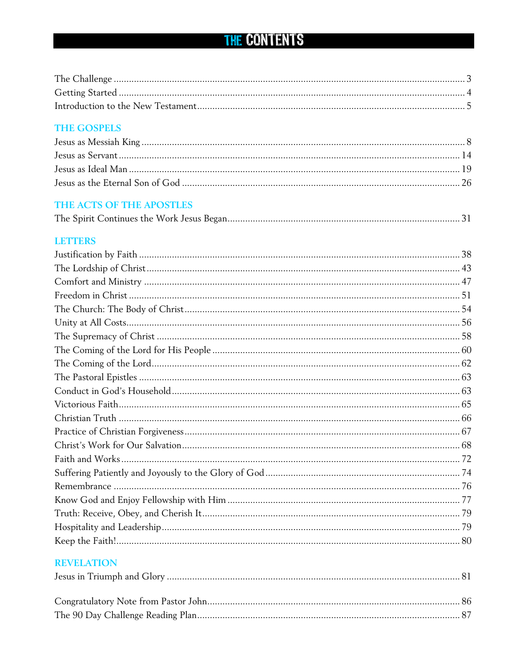# THE CONTENTS

### **THE GOSPELS**

### THE ACTS OF THE APOSTLES

|--|--|

#### **LETTERS**

### **REVELATION**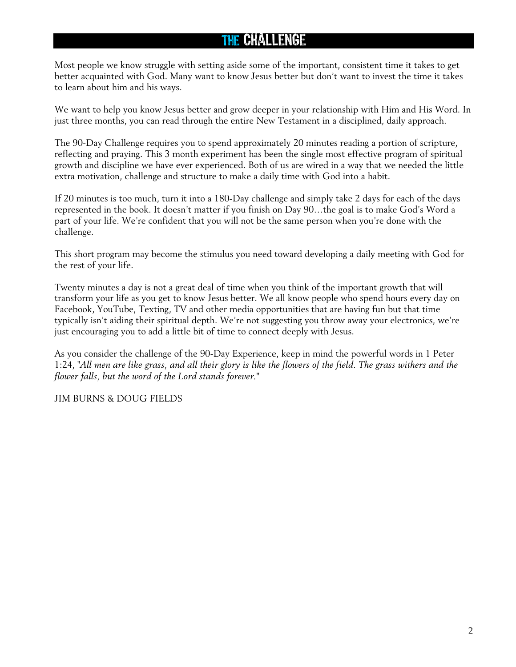## The Challenge

Most people we know struggle with setting aside some of the important, consistent time it takes to get better acquainted with God. Many want to know Jesus better but don't want to invest the time it takes to learn about him and his ways.

We want to help you know Jesus better and grow deeper in your relationship with Him and His Word. In just three months, you can read through the entire New Testament in a disciplined, daily approach.

The 90-Day Challenge requires you to spend approximately 20 minutes reading a portion of scripture, reflecting and praying. This 3 month experiment has been the single most effective program of spiritual growth and discipline we have ever experienced. Both of us are wired in a way that we needed the little extra motivation, challenge and structure to make a daily time with God into a habit.

If 20 minutes is too much, turn it into a 180-Day challenge and simply take 2 days for each of the days represented in the book. It doesn't matter if you finish on Day 90…the goal is to make God's Word a part of your life. We're confident that you will not be the same person when you're done with the challenge.

This short program may become the stimulus you need toward developing a daily meeting with God for the rest of your life.

Twenty minutes a day is not a great deal of time when you think of the important growth that will transform your life as you get to know Jesus better. We all know people who spend hours every day on Facebook, YouTube, Texting, TV and other media opportunities that are having fun but that time typically isn't aiding their spiritual depth. We're not suggesting you throw away your electronics, we're just encouraging you to add a little bit of time to connect deeply with Jesus.

As you consider the challenge of the 90-Day Experience, keep in mind the powerful words in 1 Peter 1:24, *"All men are like grass, and all their glory is like the flowers of the field. The grass withers and the flower falls, but the word of the Lord stands forever."*

JIM BURNS & DOUG FIELDS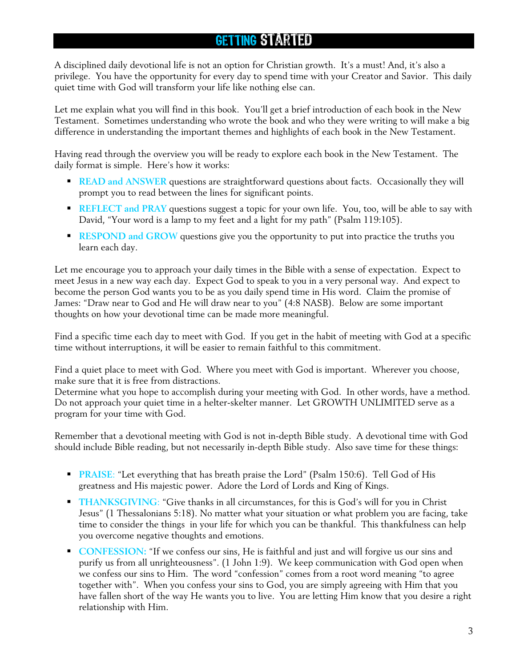# Getting Started

A disciplined daily devotional life is not an option for Christian growth. It's a must! And, it's also a privilege. You have the opportunity for every day to spend time with your Creator and Savior. This daily quiet time with God will transform your life like nothing else can.

Let me explain what you will find in this book. You'll get a brief introduction of each book in the New Testament. Sometimes understanding who wrote the book and who they were writing to will make a big difference in understanding the important themes and highlights of each book in the New Testament.

Having read through the overview you will be ready to explore each book in the New Testament. The daily format is simple. Here's how it works:

- **READ and ANSWER** questions are straightforward questions about facts. Occasionally they will prompt you to read between the lines for significant points.
- **REFLECT and PRAY** questions suggest a topic for your own life. You, too, will be able to say with David, "Your word is a lamp to my feet and a light for my path" (Psalm 119:105).
- **RESPOND and GROW** questions give you the opportunity to put into practice the truths you learn each day.

Let me encourage you to approach your daily times in the Bible with a sense of expectation. Expect to meet Jesus in a new way each day. Expect God to speak to you in a very personal way. And expect to become the person God wants you to be as you daily spend time in His word. Claim the promise of James: "Draw near to God and He will draw near to you" (4:8 NASB). Below are some important thoughts on how your devotional time can be made more meaningful.

Find a specific time each day to meet with God. If you get in the habit of meeting with God at a specific time without interruptions, it will be easier to remain faithful to this commitment.

Find a quiet place to meet with God. Where you meet with God is important. Wherever you choose, make sure that it is free from distractions.

Determine what you hope to accomplish during your meeting with God. In other words, have a method. Do not approach your quiet time in a helter-skelter manner. Let GROWTH UNLIMITED serve as a program for your time with God.

Remember that a devotional meeting with God is not in-depth Bible study. A devotional time with God should include Bible reading, but not necessarily in-depth Bible study. Also save time for these things:

- **PRAISE:** "Let everything that has breath praise the Lord" (Psalm 150:6). Tell God of His greatness and His majestic power. Adore the Lord of Lords and King of Kings.
- **THANKSGIVING:** "Give thanks in all circumstances, for this is God's will for you in Christ Jesus" (1 Thessalonians 5:18). No matter what your situation or what problem you are facing, take time to consider the things in your life for which you can be thankful. This thankfulness can help you overcome negative thoughts and emotions.
- **CONFESSION:** "If we confess our sins, He is faithful and just and will forgive us our sins and purify us from all unrighteousness". (1 John 1:9). We keep communication with God open when we confess our sins to Him. The word "confession" comes from a root word meaning "to agree together with". When you confess your sins to God, you are simply agreeing with Him that you have fallen short of the way He wants you to live. You are letting Him know that you desire a right relationship with Him.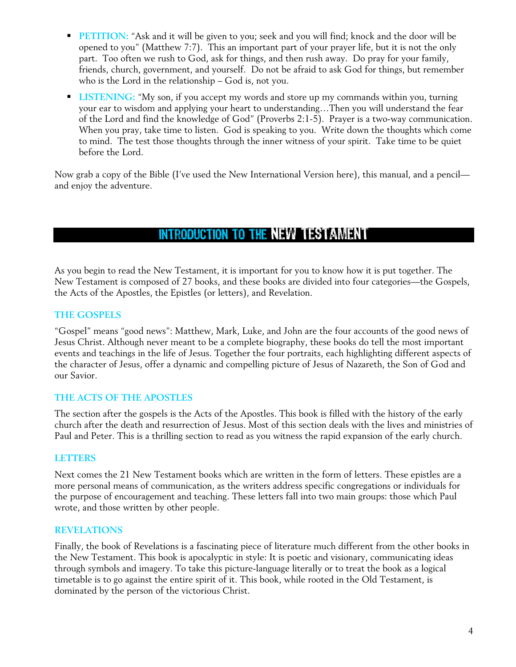- **PETITION:** "Ask and it will be given to you; seek and you will find; knock and the door will be opened to you" (Matthew 7:7). This an important part of your prayer life, but it is not the only part. Too often we rush to God, ask for things, and then rush away. Do pray for your family, friends, church, government, and yourself. Do not be afraid to ask God for things, but remember who is the Lord in the relationship – God is, not you.
- **LISTENING:** "My son, if you accept my words and store up my commands within you, turning your ear to wisdom and applying your heart to understanding…Then you will understand the fear of the Lord and find the knowledge of God" (Proverbs 2:1-5). Prayer is a two-way communication. When you pray, take time to listen. God is speaking to you. Write down the thoughts which come to mind. The test those thoughts through the inner witness of your spirit. Take time to be quiet before the Lord.

Now grab a copy of the Bible (I've used the New International Version here), this manual, and a pencil and enjoy the adventure.

# Introduction to the New Testament

As you begin to read the New Testament, it is important for you to know how it is put together. The New Testament is composed of 27 books, and these books are divided into four categories—the Gospels, the Acts of the Apostles, the Epistles (or letters), and Revelation.

#### **THE GOSPELS**

"Gospel" means "good news": Matthew, Mark, Luke, and John are the four accounts of the good news of Jesus Christ. Although never meant to be a complete biography, these books do tell the most important events and teachings in the life of Jesus. Together the four portraits, each highlighting different aspects of the character of Jesus, offer a dynamic and compelling picture of Jesus of Nazareth, the Son of God and our Savior.

#### **THE ACTS OF THE APOSTLES**

The section after the gospels is the Acts of the Apostles. This book is filled with the history of the early church after the death and resurrection of Jesus. Most of this section deals with the lives and ministries of Paul and Peter. This is a thrilling section to read as you witness the rapid expansion of the early church.

#### **LETTERS**

Next comes the 21 New Testament books which are written in the form of letters. These epistles are a more personal means of communication, as the writers address specific congregations or individuals for the purpose of encouragement and teaching. These letters fall into two main groups: those which Paul wrote, and those written by other people.

#### **REVELATIONS**

Finally, the book of Revelations is a fascinating piece of literature much different from the other books in the New Testament. This book is apocalyptic in style: It is poetic and visionary, communicating ideas through symbols and imagery. To take this picture-language literally or to treat the book as a logical timetable is to go against the entire spirit of it. This book, while rooted in the Old Testament, is dominated by the person of the victorious Christ.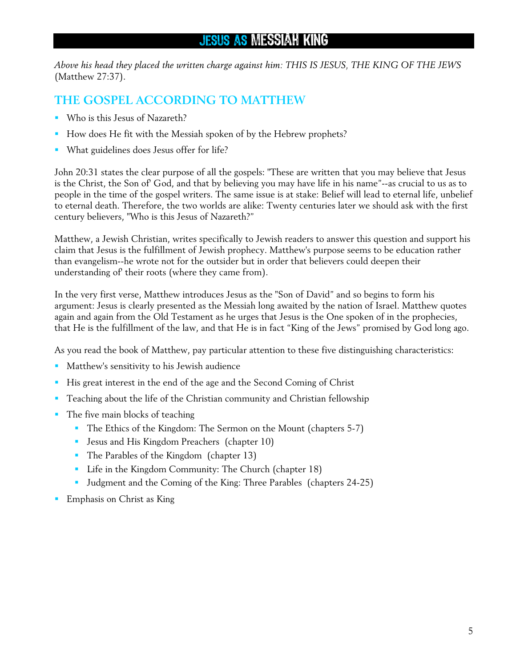## Jesus as Messiah King

*Above his head they placed the written charge against him: THIS IS JESUS, THE KING OF THE JEWS* (Matthew 27:37).

### **THE GOSPEL ACCORDING TO MATTHEW**

- Who is this Jesus of Nazareth?
- How does He fit with the Messiah spoken of by the Hebrew prophets?
- What guidelines does Jesus offer for life?

John 20:31 states the clear purpose of all the gospels: "These are written that you may believe that Jesus is the Christ, the Son of' God, and that by believing you may have life in his name"--as crucial to us as to people in the time of the gospel writers. The same issue is at stake: Belief will lead to eternal life, unbelief to eternal death. Therefore, the two worlds are alike: Twenty centuries later we should ask with the first century believers, "Who is this Jesus of Nazareth?"

Matthew, a Jewish Christian, writes specifically to Jewish readers to answer this question and support his claim that Jesus is the fulfillment of Jewish prophecy. Matthew's purpose seems to be education rather than evangelism--he wrote not for the outsider but in order that believers could deepen their understanding of' their roots (where they came from).

In the very first verse, Matthew introduces Jesus as the "Son of David" and so begins to form his argument: Jesus is clearly presented as the Messiah long awaited by the nation of Israel. Matthew quotes again and again from the Old Testament as he urges that Jesus is the One spoken of in the prophecies, that He is the fulfillment of the law, and that He is in fact "King of the Jews" promised by God long ago.

As you read the book of Matthew, pay particular attention to these five distinguishing characteristics:

- Matthew's sensitivity to his Jewish audience
- His great interest in the end of the age and the Second Coming of Christ
- Teaching about the life of the Christian community and Christian fellowship
- The five main blocks of teaching
	- The Ethics of the Kingdom: The Sermon on the Mount (chapters 5-7)
	- **Jesus and His Kingdom Preachers (chapter 10)**
	- The Parables of the Kingdom (chapter 13)
	- **Life in the Kingdom Community: The Church (chapter 18)**
	- Judgment and the Coming of the King: Three Parables (chapters 24-25)
- Emphasis on Christ as King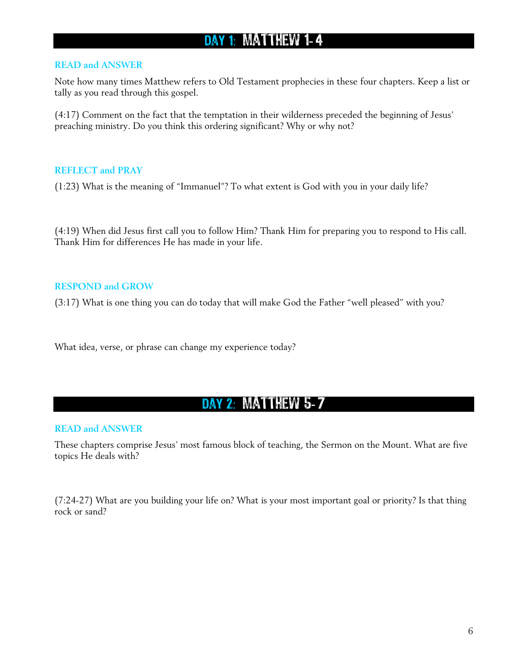# DAY 1: MATTHEW 1-4

#### **READ and ANSWER**

Note how many times Matthew refers to Old Testament prophecies in these four chapters. Keep a list or tally as you read through this gospel.

(4:17) Comment on the fact that the temptation in their wilderness preceded the beginning of Jesus' preaching ministry. Do you think this ordering significant? Why or why not?

#### **REFLECT and PRAY**

(1:23) What is the meaning of "Immanuel"? To what extent is God with you in your daily life?

(4:19) When did Jesus first call you to follow Him? Thank Him for preparing you to respond to His call. Thank Him for differences He has made in your life.

#### **RESPOND and GROW**

(3:17) What is one thing you can do today that will make God the Father "well pleased" with you?

What idea, verse, or phrase can change my experience today?

### DAY 2: MATTHEW 5-7

#### **READ and ANSWER**

These chapters comprise Jesus' most famous block of teaching, the Sermon on the Mount. What are five topics He deals with?

(7:24-27) What are you building your life on? What is your most important goal or priority? Is that thing rock or sand?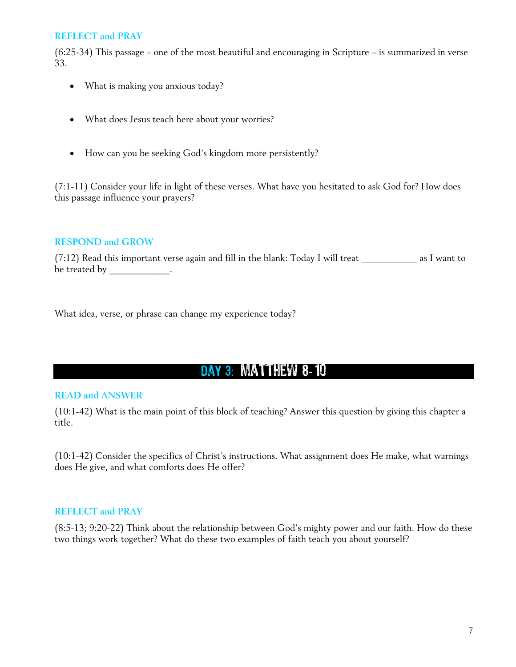(6:25-34) This passage – one of the most beautiful and encouraging in Scripture – is summarized in verse 33.

- What is making you anxious today?
- What does Jesus teach here about your worries?
- How can you be seeking God's kingdom more persistently?

(7:1-11) Consider your life in light of these verses. What have you hesitated to ask God for? How does this passage influence your prayers?

#### **RESPOND and GROW**

 $(7:12)$  Read this important verse again and fill in the blank: Today I will treat  $\qquad \qquad$  as I want to be treated by \_\_\_\_\_\_\_\_\_\_\_\_\_.

What idea, verse, or phrase can change my experience today?

# DAY 3: MATTHEW 8-10

#### **READ and ANSWER**

(10:1-42) What is the main point of this block of teaching? Answer this question by giving this chapter a title.

(10:1-42) Consider the specifics of Christ's instructions. What assignment does He make, what warnings does He give, and what comforts does He offer?

#### **REFLECT and PRAY**

(8:5-13; 9:20-22) Think about the relationship between God's mighty power and our faith. How do these two things work together? What do these two examples of faith teach you about yourself?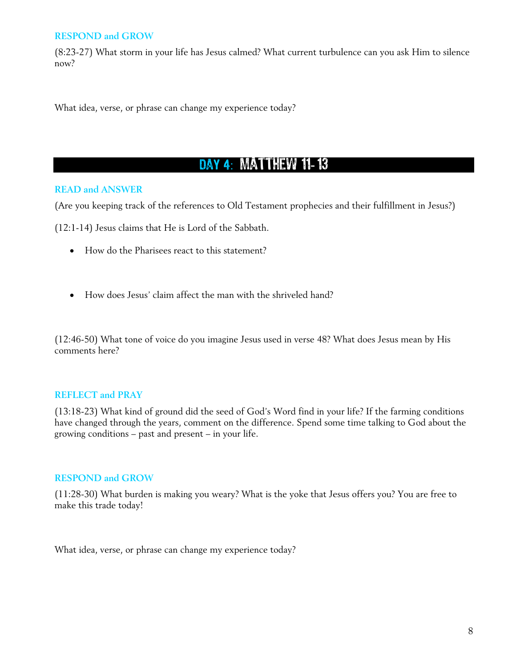#### **RESPOND and GROW**

(8:23-27) What storm in your life has Jesus calmed? What current turbulence can you ask Him to silence now?

What idea, verse, or phrase can change my experience today?

# DAY 4: MATTHEW 11-13

#### **READ and ANSWER**

(Are you keeping track of the references to Old Testament prophecies and their fulfillment in Jesus?)

(12:1-14) Jesus claims that He is Lord of the Sabbath.

- How do the Pharisees react to this statement?
- How does Jesus' claim affect the man with the shriveled hand?

(12:46-50) What tone of voice do you imagine Jesus used in verse 48? What does Jesus mean by His comments here?

#### **REFLECT and PRAY**

(13:18-23) What kind of ground did the seed of God's Word find in your life? If the farming conditions have changed through the years, comment on the difference. Spend some time talking to God about the growing conditions – past and present – in your life.

#### **RESPOND and GROW**

(11:28-30) What burden is making you weary? What is the yoke that Jesus offers you? You are free to make this trade today!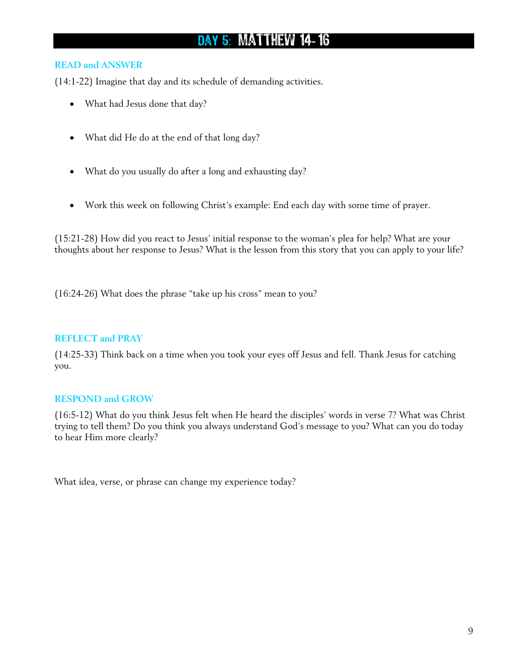# DAY 5: MATTHEW 14-16

#### **READ and ANSWER**

(14:1-22) Imagine that day and its schedule of demanding activities.

- What had Jesus done that day?
- What did He do at the end of that long day?
- What do you usually do after a long and exhausting day?
- Work this week on following Christ's example: End each day with some time of prayer.

(15:21-28) How did you react to Jesus' initial response to the woman's plea for help? What are your thoughts about her response to Jesus? What is the lesson from this story that you can apply to your life?

(16:24-26) What does the phrase "take up his cross" mean to you?

#### **REFLECT and PRAY**

(14:25-33) Think back on a time when you took your eyes off Jesus and fell. Thank Jesus for catching you.

#### **RESPOND and GROW**

(16:5-12) What do you think Jesus felt when He heard the disciples' words in verse 7? What was Christ trying to tell them? Do you think you always understand God's message to you? What can you do today to hear Him more clearly?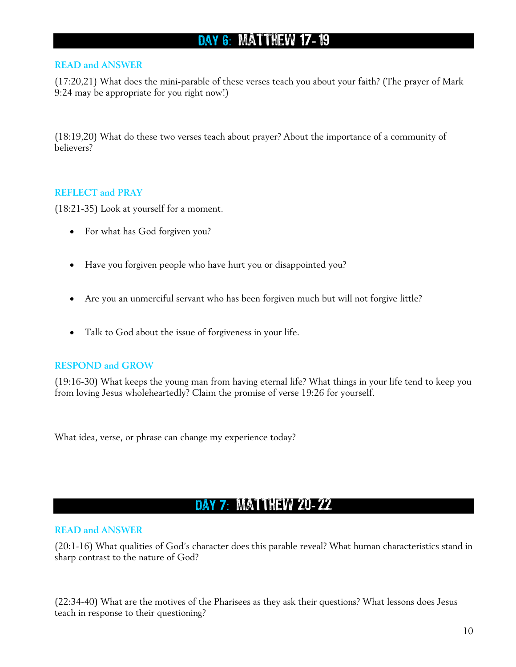# DAY 6: MATTHEW 17-19

#### **READ and ANSWER**

(17:20,21) What does the mini-parable of these verses teach you about your faith? (The prayer of Mark 9:24 may be appropriate for you right now!)

(18:19,20) What do these two verses teach about prayer? About the importance of a community of believers?

#### **REFLECT and PRAY**

(18:21-35) Look at yourself for a moment.

- For what has God forgiven you?
- Have you forgiven people who have hurt you or disappointed you?
- Are you an unmerciful servant who has been forgiven much but will not forgive little?
- Talk to God about the issue of forgiveness in your life.

#### **RESPOND and GROW**

(19:16-30) What keeps the young man from having eternal life? What things in your life tend to keep you from loving Jesus wholeheartedly? Claim the promise of verse 19:26 for yourself.

What idea, verse, or phrase can change my experience today?

## DAY 7: MATTHEW 20-22

#### **READ and ANSWER**

(20:1-16) What qualities of God's character does this parable reveal? What human characteristics stand in sharp contrast to the nature of God?

(22:34-40) What are the motives of the Pharisees as they ask their questions? What lessons does Jesus teach in response to their questioning?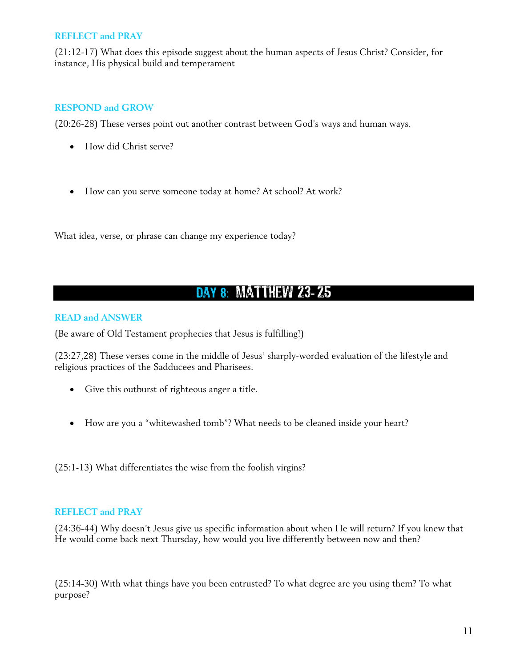(21:12-17) What does this episode suggest about the human aspects of Jesus Christ? Consider, for instance, His physical build and temperament

#### **RESPOND and GROW**

(20:26-28) These verses point out another contrast between God's ways and human ways.

- How did Christ serve?
- How can you serve someone today at home? At school? At work?

What idea, verse, or phrase can change my experience today?

### DAY 8: MATTHEW 23-25

#### **READ and ANSWER**

(Be aware of Old Testament prophecies that Jesus is fulfilling!)

(23:27,28) These verses come in the middle of Jesus' sharply-worded evaluation of the lifestyle and religious practices of the Sadducees and Pharisees.

- Give this outburst of righteous anger a title.
- How are you a "whitewashed tomb"? What needs to be cleaned inside your heart?

(25:1-13) What differentiates the wise from the foolish virgins?

#### **REFLECT and PRAY**

(24:36-44) Why doesn't Jesus give us specific information about when He will return? If you knew that He would come back next Thursday, how would you live differently between now and then?

(25:14-30) With what things have you been entrusted? To what degree are you using them? To what purpose?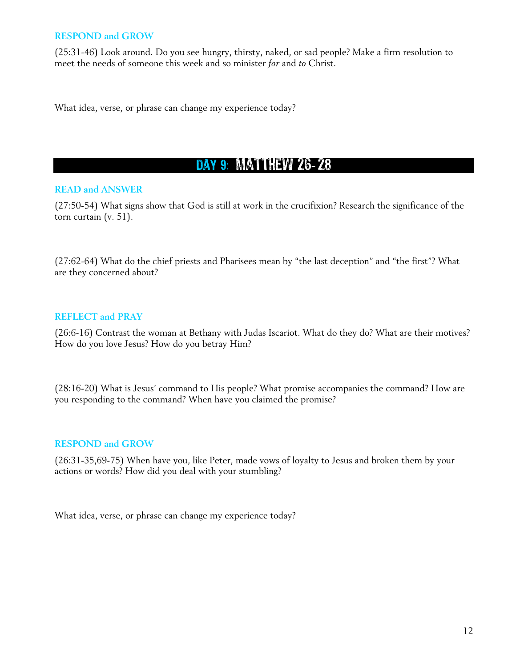#### **RESPOND and GROW**

(25:31-46) Look around. Do you see hungry, thirsty, naked, or sad people? Make a firm resolution to meet the needs of someone this week and so minister *for* and *to* Christ.

What idea, verse, or phrase can change my experience today?

## DAY 9: MATTHEW 26-28

#### **READ and ANSWER**

(27:50-54) What signs show that God is still at work in the crucifixion? Research the significance of the torn curtain (v. 51).

(27:62-64) What do the chief priests and Pharisees mean by "the last deception" and "the first"? What are they concerned about?

#### **REFLECT and PRAY**

(26:6-16) Contrast the woman at Bethany with Judas Iscariot. What do they do? What are their motives? How do you love Jesus? How do you betray Him?

(28:16-20) What is Jesus' command to His people? What promise accompanies the command? How are you responding to the command? When have you claimed the promise?

#### **RESPOND and GROW**

(26:31-35,69-75) When have you, like Peter, made vows of loyalty to Jesus and broken them by your actions or words? How did you deal with your stumbling?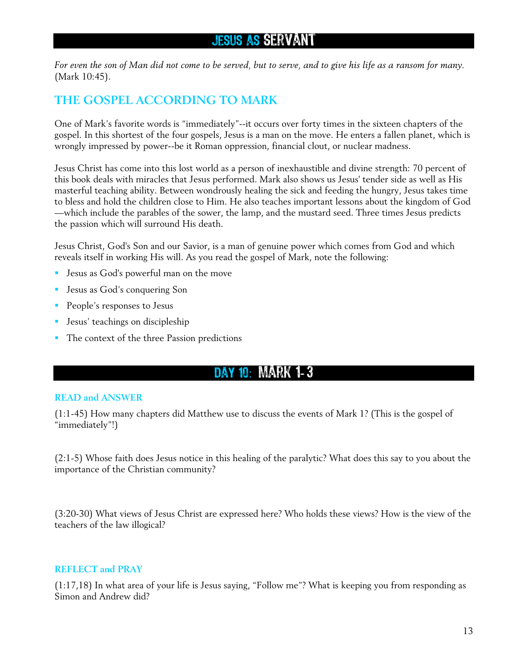### Jesus as Servant

*For even the son of Man did not come to be served, but to serve, and to give his life as a ransom for many.* (Mark 10:45).

### **THE GOSPEL ACCORDING TO MARK**

One of Mark's favorite words is "immediately"--it occurs over forty times in the sixteen chapters of the gospel. In this shortest of the four gospels, Jesus is a man on the move. He enters a fallen planet, which is wrongly impressed by power--be it Roman oppression, financial clout, or nuclear madness.

Jesus Christ has come into this lost world as a person of inexhaustible and divine strength: 70 percent of this book deals with miracles that Jesus performed. Mark also shows us Jesus' tender side as well as His masterful teaching ability. Between wondrously healing the sick and feeding the hungry, Jesus takes time to bless and hold the children close to Him. He also teaches important lessons about the kingdom of God —which include the parables of the sower, the lamp, and the mustard seed. Three times Jesus predicts the passion which will surround His death.

Jesus Christ, God's Son and our Savior, is a man of genuine power which comes from God and which reveals itself in working His will. As you read the gospel of Mark, note the following:

- Jesus as God's powerful man on the move
- **Jesus as God's conquering Son**
- **People's responses to Jesus**
- **Jesus' teachings on discipleship**
- The context of the three Passion predictions

### DAY 10: MARK 1-3

#### **READ and ANSWER**

(1:1-45) How many chapters did Matthew use to discuss the events of Mark 1? (This is the gospel of "immediately"!)

(2:1-5) Whose faith does Jesus notice in this healing of the paralytic? What does this say to you about the importance of the Christian community?

(3:20-30) What views of Jesus Christ are expressed here? Who holds these views? How is the view of the teachers of the law illogical?

#### **REFLECT and PRAY**

(1:17,18) In what area of your life is Jesus saying, "Follow me"? What is keeping you from responding as Simon and Andrew did?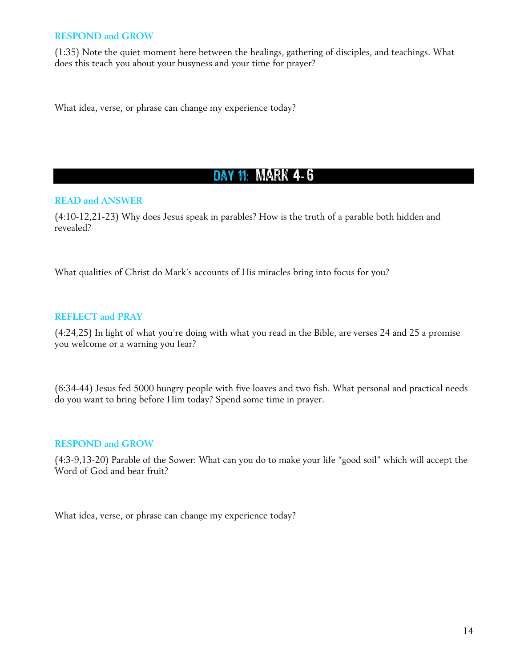#### **RESPOND and GROW**

(1:35) Note the quiet moment here between the healings, gathering of disciples, and teachings. What does this teach you about your busyness and your time for prayer?

What idea, verse, or phrase can change my experience today?

# DAY 11: MARK 4-6

#### **READ and ANSWER**

(4:10-12,21-23) Why does Jesus speak in parables? How is the truth of a parable both hidden and revealed?

What qualities of Christ do Mark's accounts of His miracles bring into focus for you?

#### **REFLECT and PRAY**

(4:24,25) In light of what you're doing with what you read in the Bible, are verses 24 and 25 a promise you welcome or a warning you fear?

(6:34-44) Jesus fed 5000 hungry people with five loaves and two fish. What personal and practical needs do you want to bring before Him today? Spend some time in prayer.

#### **RESPOND and GROW**

(4:3-9,13-20) Parable of the Sower: What can you do to make your life "good soil" which will accept the Word of God and bear fruit?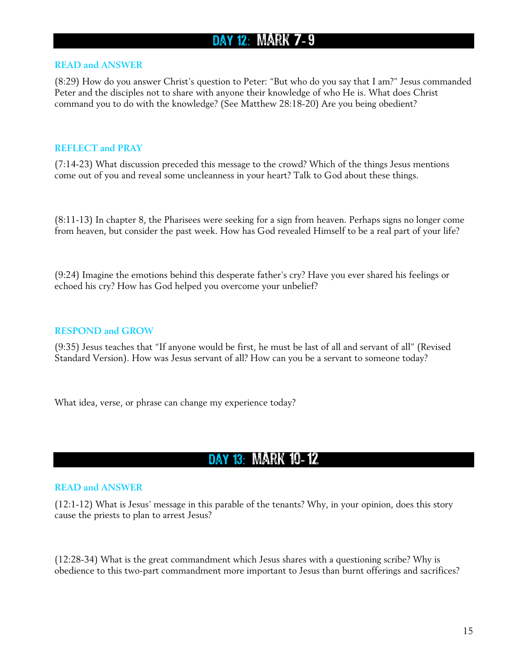## DAY 12: MARK 7-9

#### **READ and ANSWER**

(8:29) How do you answer Christ's question to Peter: "But who do you say that I am?" Jesus commanded Peter and the disciples not to share with anyone their knowledge of who He is. What does Christ command you to do with the knowledge? (See Matthew 28:18-20) Are you being obedient?

#### **REFLECT and PRAY**

(7:14-23) What discussion preceded this message to the crowd? Which of the things Jesus mentions come out of you and reveal some uncleanness in your heart? Talk to God about these things.

(8:11-13) In chapter 8, the Pharisees were seeking for a sign from heaven. Perhaps signs no longer come from heaven, but consider the past week. How has God revealed Himself to be a real part of your life?

(9:24) Imagine the emotions behind this desperate father's cry? Have you ever shared his feelings or echoed his cry? How has God helped you overcome your unbelief?

#### **RESPOND and GROW**

(9:35) Jesus teaches that "If anyone would be first, he must be last of all and servant of all" (Revised Standard Version). How was Jesus servant of all? How can you be a servant to someone today?

What idea, verse, or phrase can change my experience today?

### DAY 13: MARK 10-12

#### **READ and ANSWER**

(12:1-12) What is Jesus' message in this parable of the tenants? Why, in your opinion, does this story cause the priests to plan to arrest Jesus?

(12:28-34) What is the great commandment which Jesus shares with a questioning scribe? Why is obedience to this two-part commandment more important to Jesus than burnt offerings and sacrifices?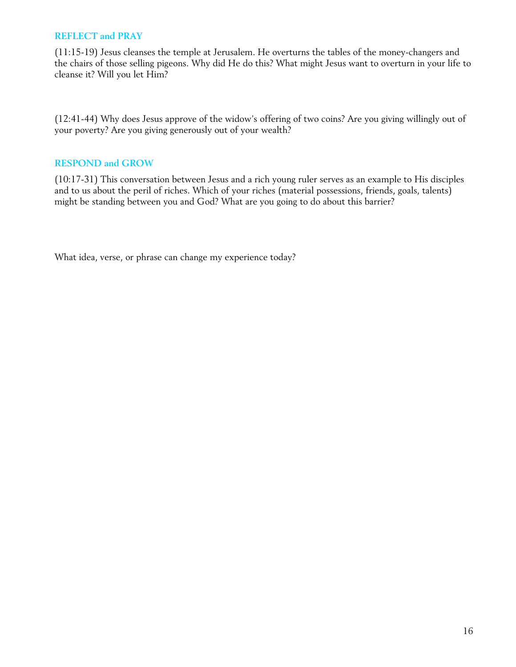(11:15-19) Jesus cleanses the temple at Jerusalem. He overturns the tables of the money-changers and the chairs of those selling pigeons. Why did He do this? What might Jesus want to overturn in your life to cleanse it? Will you let Him?

(12:41-44) Why does Jesus approve of the widow's offering of two coins? Are you giving willingly out of your poverty? Are you giving generously out of your wealth?

#### **RESPOND and GROW**

(10:17-31) This conversation between Jesus and a rich young ruler serves as an example to His disciples and to us about the peril of riches. Which of your riches (material possessions, friends, goals, talents) might be standing between you and God? What are you going to do about this barrier?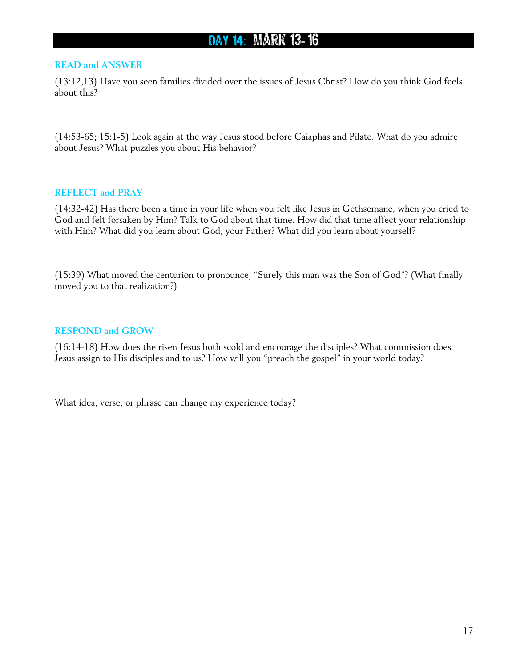# DAY 14: MARK 13-16

#### **READ and ANSWER**

(13:12,13) Have you seen families divided over the issues of Jesus Christ? How do you think God feels about this?

(14:53-65; 15:1-5) Look again at the way Jesus stood before Caiaphas and Pilate. What do you admire about Jesus? What puzzles you about His behavior?

#### **REFLECT and PRAY**

(14:32-42) Has there been a time in your life when you felt like Jesus in Gethsemane, when you cried to God and felt forsaken by Him? Talk to God about that time. How did that time affect your relationship with Him? What did you learn about God, your Father? What did you learn about yourself?

(15:39) What moved the centurion to pronounce, "Surely this man was the Son of God"? (What finally moved you to that realization?)

#### **RESPOND and GROW**

(16:14-18) How does the risen Jesus both scold and encourage the disciples? What commission does Jesus assign to His disciples and to us? How will you "preach the gospel" in your world today?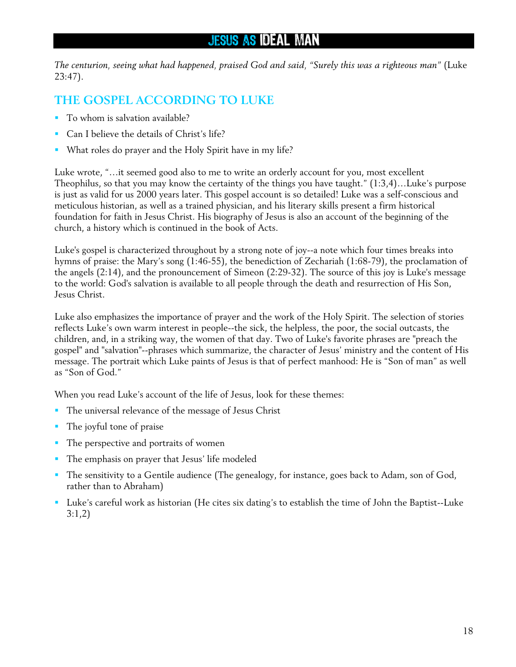## Jesus as IDEAL MAN

*The centurion, seeing what had happened, praised God and said, "Surely this was a righteous man"* (Luke 23:47).

### **THE GOSPEL ACCORDING TO LUKE**

- To whom is salvation available?
- **Can I believe the details of Christ's life?**
- What roles do prayer and the Holy Spirit have in my life?

Luke wrote, "…it seemed good also to me to write an orderly account for you, most excellent Theophilus, so that you may know the certainty of the things you have taught." (1:3,4)…Luke's purpose is just as valid for us 2000 years later. This gospel account is so detailed! Luke was a self-conscious and meticulous historian, as well as a trained physician, and his literary skills present a firm historical foundation for faith in Jesus Christ. His biography of Jesus is also an account of the beginning of the church, a history which is continued in the book of Acts.

Luke's gospel is characterized throughout by a strong note of joy--a note which four times breaks into hymns of praise: the Mary's song (1:46-55), the benediction of Zechariah (1:68-79), the proclamation of the angels (2:14), and the pronouncement of Simeon (2:29-32). The source of this joy is Luke's message to the world: God's salvation is available to all people through the death and resurrection of His Son, Jesus Christ.

Luke also emphasizes the importance of prayer and the work of the Holy Spirit. The selection of stories reflects Luke's own warm interest in people--the sick, the helpless, the poor, the social outcasts, the children, and, in a striking way, the women of that day. Two of Luke's favorite phrases are "preach the gospel" and "salvation"--phrases which summarize, the character of Jesus' ministry and the content of His message. The portrait which Luke paints of Jesus is that of perfect manhood: He is "Son of man" as well as "Son of God."

When you read Luke's account of the life of Jesus, look for these themes:

- The universal relevance of the message of Jesus Christ
- The joyful tone of praise
- The perspective and portraits of women
- The emphasis on prayer that Jesus' life modeled
- The sensitivity to a Gentile audience (The genealogy, for instance, goes back to Adam, son of God, rather than to Abraham)
- Luke's careful work as historian (He cites six dating's to establish the time of John the Baptist--Luke 3:1,2)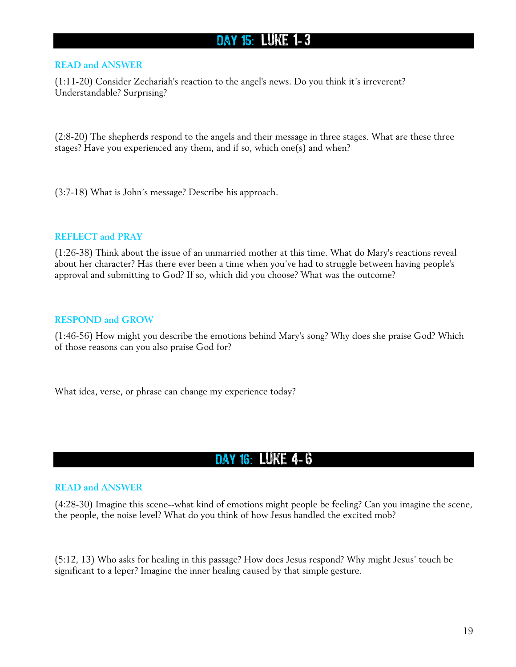## DAY 15: LUKE 1-3

#### **READ and ANSWER**

(1:11-20) Consider Zechariah's reaction to the angel's news. Do you think it's irreverent? Understandable? Surprising?

(2:8-20) The shepherds respond to the angels and their message in three stages. What are these three stages? Have you experienced any them, and if so, which one(s) and when?

(3:7-18) What is John's message? Describe his approach.

#### **REFLECT and PRAY**

(1:26-38) Think about the issue of an unmarried mother at this time. What do Mary's reactions reveal about her character? Has there ever been a time when you've had to struggle between having people's approval and submitting to God? If so, which did you choose? What was the outcome?

#### **RESPOND and GROW**

(1:46-56) How might you describe the emotions behind Mary's song? Why does she praise God? Which of those reasons can you also praise God for?

What idea, verse, or phrase can change my experience today?

### DAY 16: LUKE 4-6

#### **READ and ANSWER**

(4:28-30) Imagine this scene--what kind of emotions might people be feeling? Can you imagine the scene, the people, the noise level? What do you think of how Jesus handled the excited mob?

(5:12, 13) Who asks for healing in this passage? How does Jesus respond? Why might Jesus' touch be significant to a leper? Imagine the inner healing caused by that simple gesture.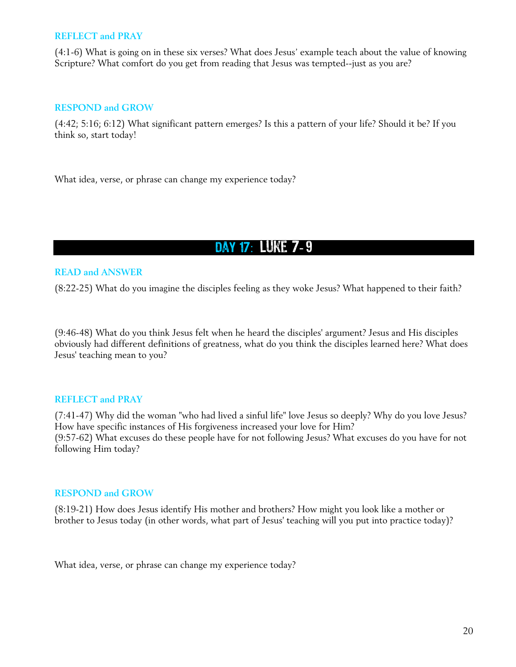(4:1-6) What is going on in these six verses? What does Jesus' example teach about the value of knowing Scripture? What comfort do you get from reading that Jesus was tempted--just as you are?

#### **RESPOND and GROW**

(4:42; 5:16; 6:12) What significant pattern emerges? Is this a pattern of your life? Should it be? If you think so, start today!

What idea, verse, or phrase can change my experience today?

# DAY 17: LUKE 7-9

#### **READ and ANSWER**

(8:22-25) What do you imagine the disciples feeling as they woke Jesus? What happened to their faith?

(9:46-48) What do you think Jesus felt when he heard the disciples' argument? Jesus and His disciples obviously had different definitions of greatness, what do you think the disciples learned here? What does Jesus' teaching mean to you?

#### **REFLECT and PRAY**

(7:41-47) Why did the woman "who had lived a sinful life" love Jesus so deeply? Why do you love Jesus? How have specific instances of His forgiveness increased your love for Him? (9:57-62) What excuses do these people have for not following Jesus? What excuses do you have for not following Him today?

#### **RESPOND and GROW**

(8:19-21) How does Jesus identify His mother and brothers? How might you look like a mother or brother to Jesus today (in other words, what part of Jesus' teaching will you put into practice today)?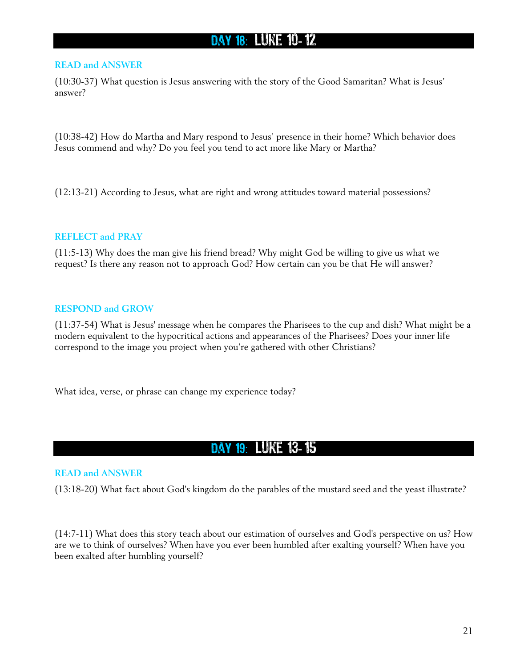## DAY 18: LUKE 10-12

#### **READ and ANSWER**

(10:30-37) What question is Jesus answering with the story of the Good Samaritan? What is Jesus' answer?

(10:38-42) How do Martha and Mary respond to Jesus' presence in their home? Which behavior does Jesus commend and why? Do you feel you tend to act more like Mary or Martha?

(12:13-21) According to Jesus, what are right and wrong attitudes toward material possessions?

#### **REFLECT and PRAY**

(11:5-13) Why does the man give his friend bread? Why might God be willing to give us what we request? Is there any reason not to approach God? How certain can you be that He will answer?

#### **RESPOND and GROW**

(11:37-54) What is Jesus' message when he compares the Pharisees to the cup and dish? What might be a modern equivalent to the hypocritical actions and appearances of the Pharisees? Does your inner life correspond to the image you project when you're gathered with other Christians?

What idea, verse, or phrase can change my experience today?

### Day 19: Luke 13- 15

#### **READ and ANSWER**

(13:18-20) What fact about God's kingdom do the parables of the mustard seed and the yeast illustrate?

(14:7-11) What does this story teach about our estimation of ourselves and God's perspective on us? How are we to think of ourselves? When have you ever been humbled after exalting yourself? When have you been exalted after humbling yourself?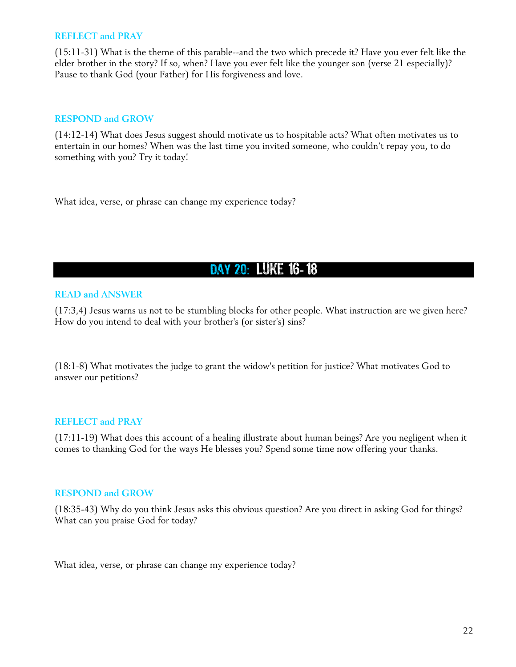(15:11-31) What is the theme of this parable--and the two which precede it? Have you ever felt like the elder brother in the story? If so, when? Have you ever felt like the younger son (verse 21 especially)? Pause to thank God (your Father) for His forgiveness and love.

#### **RESPOND and GROW**

(14:12-14) What does Jesus suggest should motivate us to hospitable acts? What often motivates us to entertain in our homes? When was the last time you invited someone, who couldn't repay you, to do something with you? Try it today!

What idea, verse, or phrase can change my experience today?

## DAY 20: LUKE 16-18

#### **READ and ANSWER**

(17:3,4) Jesus warns us not to be stumbling blocks for other people. What instruction are we given here? How do you intend to deal with your brother's (or sister's) sins?

(18:1-8) What motivates the judge to grant the widow's petition for justice? What motivates God to answer our petitions?

#### **REFLECT and PRAY**

(17:11-19) What does this account of a healing illustrate about human beings? Are you negligent when it comes to thanking God for the ways He blesses you? Spend some time now offering your thanks.

#### **RESPOND and GROW**

(18:35-43) Why do you think Jesus asks this obvious question? Are you direct in asking God for things? What can you praise God for today?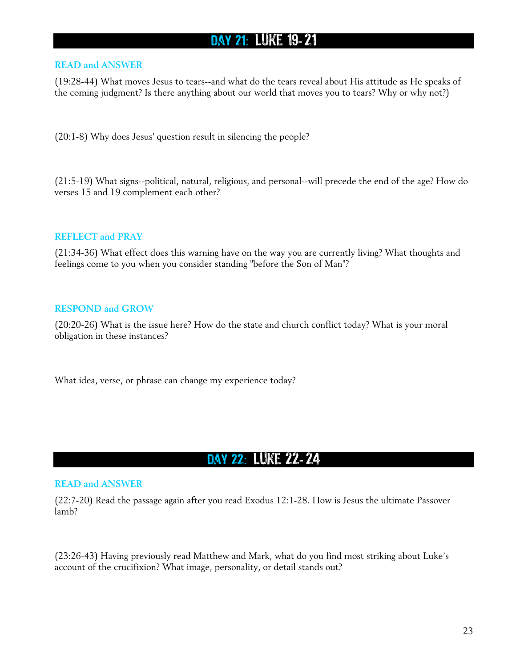# DAY 21: LUKE 19-21

#### **READ and ANSWER**

(19:28-44) What moves Jesus to tears--and what do the tears reveal about His attitude as He speaks of the coming judgment? Is there anything about our world that moves you to tears? Why or why not?)

(20:1-8) Why does Jesus' question result in silencing the people?

(21:5-19) What signs--political, natural, religious, and personal--will precede the end of the age? How do verses 15 and 19 complement each other?

#### **REFLECT and PRAY**

(21:34-36) What effect does this warning have on the way you are currently living? What thoughts and feelings come to you when you consider standing "before the Son of Man"?

#### **RESPOND and GROW**

(20:20-26) What is the issue here? How do the state and church conflict today? What is your moral obligation in these instances?

What idea, verse, or phrase can change my experience today?

### Day 22 : Luke 22- 24

#### **READ and ANSWER**

(22:7-20) Read the passage again after you read Exodus 12:1-28. How is Jesus the ultimate Passover lamb?

(23:26-43) Having previously read Matthew and Mark, what do you find most striking about Luke's account of the crucifixion? What image, personality, or detail stands out?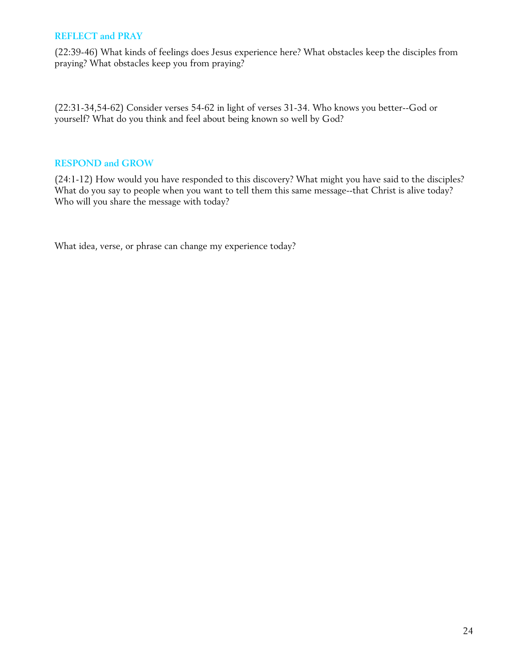(22:39-46) What kinds of feelings does Jesus experience here? What obstacles keep the disciples from praying? What obstacles keep you from praying?

(22:31-34,54-62) Consider verses 54-62 in light of verses 31-34. Who knows you better--God or yourself? What do you think and feel about being known so well by God?

#### **RESPOND and GROW**

(24:1-12) How would you have responded to this discovery? What might you have said to the disciples? What do you say to people when you want to tell them this same message--that Christ is alive today? Who will you share the message with today?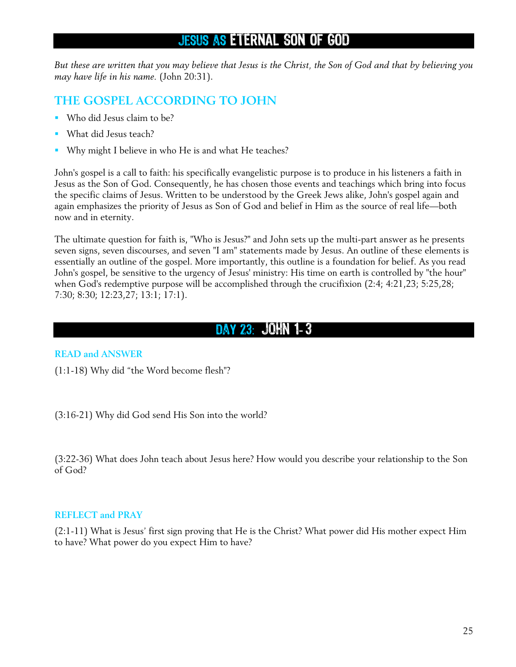### Jesus as ETERNAL SON OF GOD

*But these are written that you may believe that Jesus is the Christ, the Son of God and that by believing you may have life in his name.* (John 20:31).

### **THE GOSPEL ACCORDING TO JOHN**

- Who did Jesus claim to be?
- **What did Jesus teach?**
- Why might I believe in who He is and what He teaches?

John's gospel is a call to faith: his specifically evangelistic purpose is to produce in his listeners a faith in Jesus as the Son of God. Consequently, he has chosen those events and teachings which bring into focus the specific claims of Jesus. Written to be understood by the Greek Jews alike, John's gospel again and again emphasizes the priority of Jesus as Son of God and belief in Him as the source of real life—both now and in eternity.

The ultimate question for faith is, "Who is Jesus?" and John sets up the multi-part answer as he presents seven signs, seven discourses, and seven "I am" statements made by Jesus. An outline of these elements is essentially an outline of the gospel. More importantly, this outline is a foundation for belief. As you read John's gospel, be sensitive to the urgency of Jesus' ministry: His time on earth is controlled by "the hour" when God's redemptive purpose will be accomplished through the crucifixion (2:4; 4:21,23; 5:25,28; 7:30; 8:30; 12:23,27; 13:1; 17:1).

## Day 23 : John 1- 3

### **READ and ANSWER**

(1:1-18) Why did "the Word become flesh"?

(3:16-21) Why did God send His Son into the world?

(3:22-36) What does John teach about Jesus here? How would you describe your relationship to the Son of God?

#### **REFLECT and PRAY**

(2:1-11) What is Jesus' first sign proving that He is the Christ? What power did His mother expect Him to have? What power do you expect Him to have?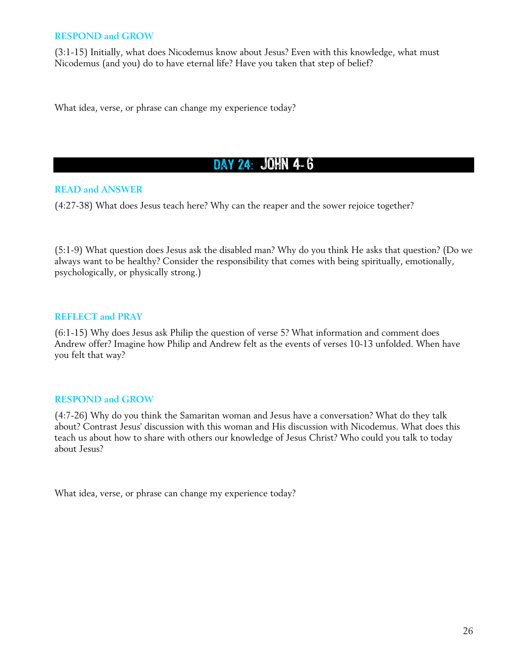#### **RESPOND and GROW**

(3:1-15) Initially, what does Nicodemus know about Jesus? Even with this knowledge, what must Nicodemus (and you) do to have eternal life? Have you taken that step of belief?

What idea, verse, or phrase can change my experience today?

### DAY 24: JOHN 4-6

#### **READ and ANSWER**

(4:27-38) What does Jesus teach here? Why can the reaper and the sower rejoice together?

(5:1-9) What question does Jesus ask the disabled man? Why do you think He asks that question? (Do we always want to be healthy? Consider the responsibility that comes with being spiritually, emotionally, psychologically, or physically strong.)

#### **REFLECT and PRAY**

(6:1-15) Why does Jesus ask Philip the question of verse 5? What information and comment does Andrew offer? Imagine how Philip and Andrew felt as the events of verses 10-13 unfolded. When have you felt that way?

#### **RESPOND and GROW**

(4:7-26) Why do you think the Samaritan woman and Jesus have a conversation? What do they talk about? Contrast Jesus' discussion with this woman and His discussion with Nicodemus. What does this teach us about how to share with others our knowledge of Jesus Christ? Who could you talk to today about Jesus?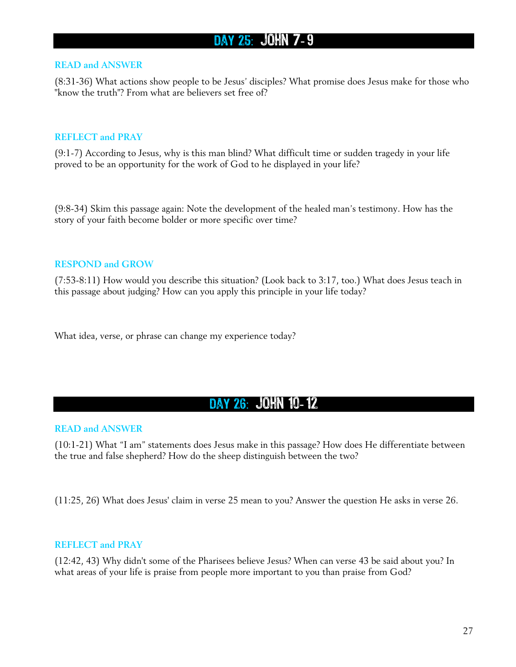## DAY 25: JOHN 7-9

#### **READ and ANSWER**

(8:31-36) What actions show people to be Jesus' disciples? What promise does Jesus make for those who "know the truth"? From what are believers set free of?

#### **REFLECT and PRAY**

(9:1-7) According to Jesus, why is this man blind? What difficult time or sudden tragedy in your life proved to be an opportunity for the work of God to he displayed in your life?

(9:8-34) Skim this passage again: Note the development of the healed man's testimony. How has the story of your faith become bolder or more specific over time?

#### **RESPOND and GROW**

(7:53-8:11) How would you describe this situation? (Look back to 3:17, too.) What does Jesus teach in this passage about judging? How can you apply this principle in your life today?

What idea, verse, or phrase can change my experience today?

### Day 26 : John 10- 12

#### **READ and ANSWER**

(10:1-21) What "I am" statements does Jesus make in this passage? How does He differentiate between the true and false shepherd? How do the sheep distinguish between the two?

(11:25, 26) What does Jesus' claim in verse 25 mean to you? Answer the question He asks in verse 26.

#### **REFLECT and PRAY**

(12:42, 43) Why didn't some of the Pharisees believe Jesus? When can verse 43 be said about you? In what areas of your life is praise from people more important to you than praise from God?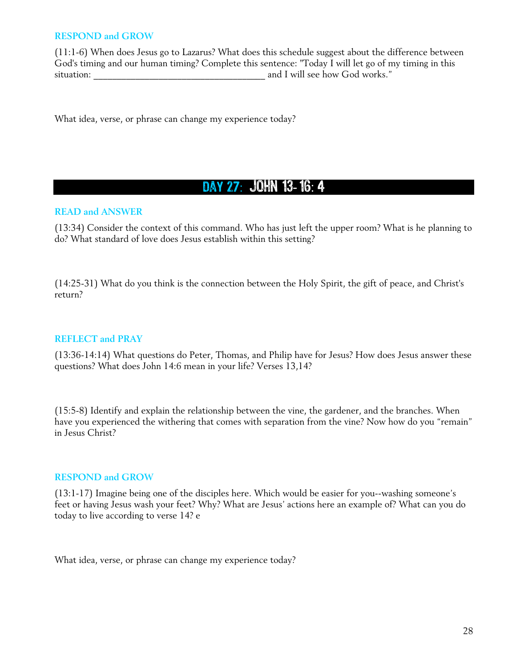#### **RESPOND and GROW**

(11:1-6) When does Jesus go to Lazarus? What does this schedule suggest about the difference between God's timing and our human timing? Complete this sentence: "Today I will let go of my timing in this situation: \_\_\_\_\_\_\_\_\_\_\_\_\_\_\_\_\_\_\_\_\_\_\_\_\_\_\_\_\_\_\_\_\_\_\_\_\_ and I will see how God works."

What idea, verse, or phrase can change my experience today?

### DAY 27: JOHN 13-16: 4

#### **READ and ANSWER**

(13:34) Consider the context of this command. Who has just left the upper room? What is he planning to do? What standard of love does Jesus establish within this setting?

(14:25-31) What do you think is the connection between the Holy Spirit, the gift of peace, and Christ's return?

#### **REFLECT and PRAY**

(13:36-14:14) What questions do Peter, Thomas, and Philip have for Jesus? How does Jesus answer these questions? What does John 14:6 mean in your life? Verses 13,14?

(15:5-8) Identify and explain the relationship between the vine, the gardener, and the branches. When have you experienced the withering that comes with separation from the vine? Now how do you "remain" in Jesus Christ?

#### **RESPOND and GROW**

(13:1-17) Imagine being one of the disciples here. Which would be easier for you--washing someone's feet or having Jesus wash your feet? Why? What are Jesus' actions here an example of? What can you do today to live according to verse 14? e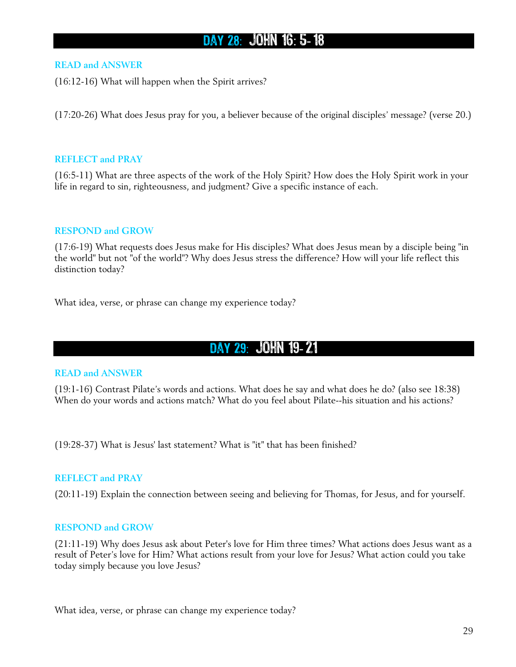## DAY 28: JOHN 16: 5-18

#### **READ and ANSWER**

(16:12-16) What will happen when the Spirit arrives?

(17:20-26) What does Jesus pray for you, a believer because of the original disciples' message? (verse 20.)

#### **REFLECT and PRAY**

(16:5-11) What are three aspects of the work of the Holy Spirit? How does the Holy Spirit work in your life in regard to sin, righteousness, and judgment? Give a specific instance of each.

#### **RESPOND and GROW**

(17:6-19) What requests does Jesus make for His disciples? What does Jesus mean by a disciple being "in the world" but not "of the world"? Why does Jesus stress the difference? How will your life reflect this distinction today?

What idea, verse, or phrase can change my experience today?

### Day 29 : John 19- 21

#### **READ and ANSWER**

(19:1-16) Contrast Pilate's words and actions. What does he say and what does he do? (also see 18:38) When do your words and actions match? What do you feel about Pilate--his situation and his actions?

(19:28-37) What is Jesus' last statement? What is "it" that has been finished?

#### **REFLECT and PRAY**

(20:11-19) Explain the connection between seeing and believing for Thomas, for Jesus, and for yourself.

#### **RESPOND and GROW**

(21:11-19) Why does Jesus ask about Peter's love for Him three times? What actions does Jesus want as a result of Peter's love for Him? What actions result from your love for Jesus? What action could you take today simply because you love Jesus?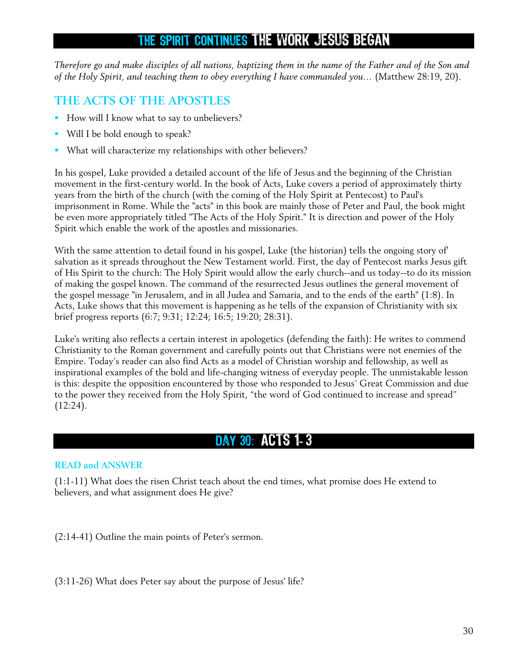## THE SPIRIT CONTINUES THE WORK JESUS BEGAN

*Therefore go and make disciples of all nations, baptizing them in the name of the Father and of the Son and of the Holy Spirit, and teaching them to obey everything I have commanded you…* (Matthew 28:19, 20).

### **THE ACTS OF THE APOSTLES**

- How will I know what to say to unbelievers?
- Will I be bold enough to speak?
- What will characterize my relationships with other believers?

In his gospel, Luke provided a detailed account of the life of Jesus and the beginning of the Christian movement in the first-century world. In the book of Acts, Luke covers a period of approximately thirty years from the birth of the church (with the coming of the Holy Spirit at Pentecost) to Paul's imprisonment in Rome. While the "acts" in this book are mainly those of Peter and Paul, the book might be even more appropriately titled "The Acts of the Holy Spirit." It is direction and power of the Holy Spirit which enable the work of the apostles and missionaries.

With the same attention to detail found in his gospel, Luke (the historian) tells the ongoing story of' salvation as it spreads throughout the New Testament world. First, the day of Pentecost marks Jesus gift of His Spirit to the church: The Holy Spirit would allow the early church--and us today--to do its mission of making the gospel known. The command of the resurrected Jesus outlines the general movement of the gospel message "in Jerusalem, and in all Judea and Samaria, and to the ends of the earth" (1:8). In Acts, Luke shows that this movement is happening as he tells of the expansion of Christianity with six brief progress reports (6:7; 9:31; 12:24; 16:5; 19:20; 28:31).

Luke's writing also reflects a certain interest in apologetics (defending the faith): He writes to commend Christianity to the Roman government and carefully points out that Christians were not enemies of the Empire. Today's reader can also find Acts as a model of Christian worship and fellowship, as well as inspirational examples of the bold and life-changing witness of everyday people. The unmistakable lesson is this: despite the opposition encountered by those who responded to Jesus' Great Commission and due to the power they received from the Holy Spirit, "the word of God continued to increase and spread" (12:24).

## DAY 30: ACTS 1-3

### **READ and ANSWER**

(1:1-11) What does the risen Christ teach about the end times, what promise does He extend to believers, and what assignment does He give?

(2:14-41) Outline the main points of Peter's sermon.

(3:11-26) What does Peter say about the purpose of Jesus' life?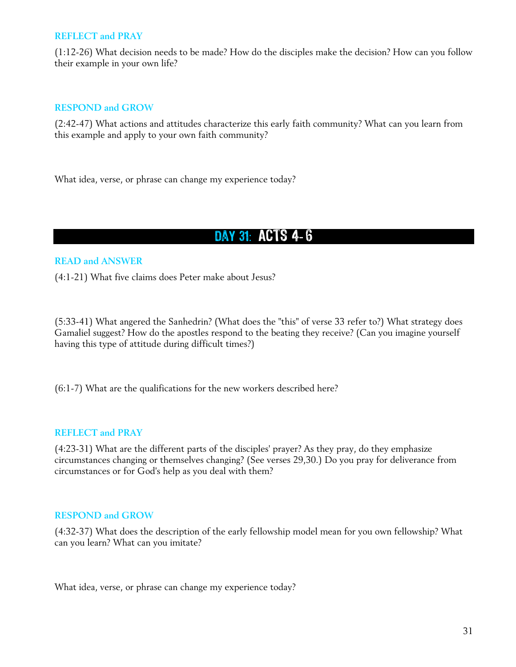(1:12-26) What decision needs to be made? How do the disciples make the decision? How can you follow their example in your own life?

#### **RESPOND and GROW**

(2:42-47) What actions and attitudes characterize this early faith community? What can you learn from this example and apply to your own faith community?

What idea, verse, or phrase can change my experience today?

# DAY 31: ACTS 4-6

#### **READ and ANSWER**

(4:1-21) What five claims does Peter make about Jesus?

(5:33-41) What angered the Sanhedrin? (What does the "this" of verse 33 refer to?) What strategy does Gamaliel suggest? How do the apostles respond to the beating they receive? (Can you imagine yourself having this type of attitude during difficult times?)

(6:1-7) What are the qualifications for the new workers described here?

#### **REFLECT and PRAY**

(4:23-31) What are the different parts of the disciples' prayer? As they pray, do they emphasize circumstances changing or themselves changing? (See verses 29,30.) Do you pray for deliverance from circumstances or for God's help as you deal with them?

#### **RESPOND and GROW**

(4:32-37) What does the description of the early fellowship model mean for you own fellowship? What can you learn? What can you imitate?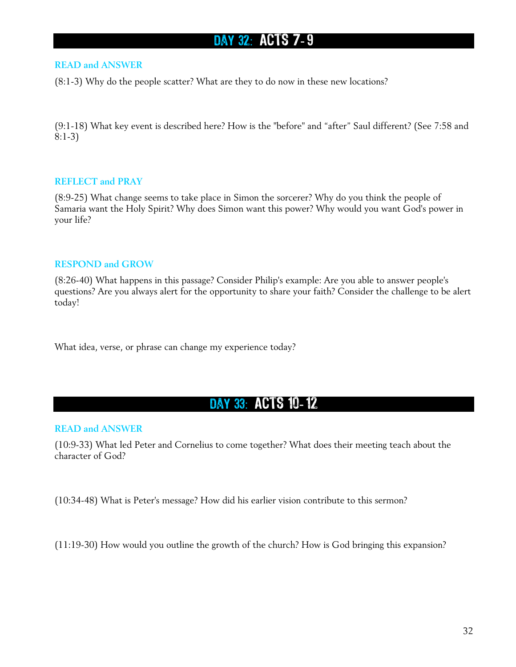# DAY 32: ACTS 7-9

#### **READ and ANSWER**

(8:1-3) Why do the people scatter? What are they to do now in these new locations?

(9:1-18) What key event is described here? How is the "before" and "after" Saul different? (See 7:58 and 8:1-3)

#### **REFLECT and PRAY**

(8:9-25) What change seems to take place in Simon the sorcerer? Why do you think the people of Samaria want the Holy Spirit? Why does Simon want this power? Why would you want God's power in your life?

#### **RESPOND and GROW**

(8:26-40) What happens in this passage? Consider Philip's example: Are you able to answer people's questions? Are you always alert for the opportunity to share your faith? Consider the challenge to be alert today!

What idea, verse, or phrase can change my experience today?

### DAY 33: ACTS 10-12

#### **READ and ANSWER**

(10:9-33) What led Peter and Cornelius to come together? What does their meeting teach about the character of God?

(10:34-48) What is Peter's message? How did his earlier vision contribute to this sermon?

(11:19-30) How would you outline the growth of the church? How is God bringing this expansion?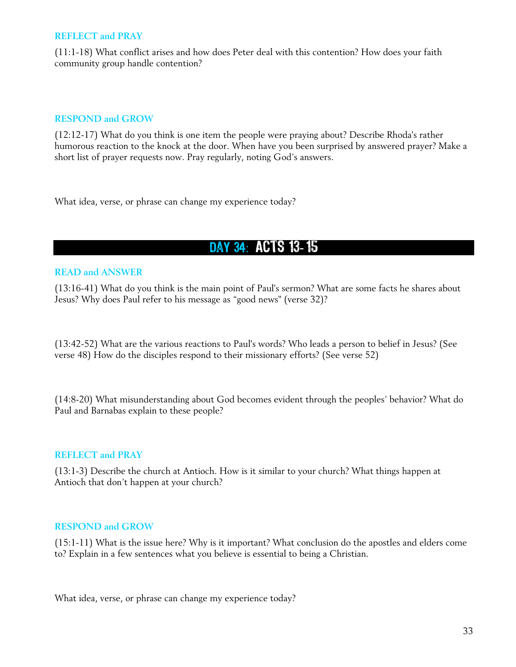(11:1-18) What conflict arises and how does Peter deal with this contention? How does your faith community group handle contention?

#### **RESPOND and GROW**

(12:12-17) What do you think is one item the people were praying about? Describe Rhoda's rather humorous reaction to the knock at the door. When have you been surprised by answered prayer? Make a short list of prayer requests now. Pray regularly, noting God's answers.

What idea, verse, or phrase can change my experience today?

## DAY 34: ACTS 13-15

#### **READ and ANSWER**

(13:16-41) What do you think is the main point of Paul's sermon? What are some facts he shares about Jesus? Why does Paul refer to his message as "good news" (verse 32)?

(13:42-52) What are the various reactions to Paul's words? Who leads a person to belief in Jesus? (See verse 48) How do the disciples respond to their missionary efforts? (See verse 52)

(14:8-20) What misunderstanding about God becomes evident through the peoples' behavior? What do Paul and Barnabas explain to these people?

#### **REFLECT and PRAY**

(13:1-3) Describe the church at Antioch. How is it similar to your church? What things happen at Antioch that don't happen at your church?

#### **RESPOND and GROW**

(15:1-11) What is the issue here? Why is it important? What conclusion do the apostles and elders come to? Explain in a few sentences what you believe is essential to being a Christian.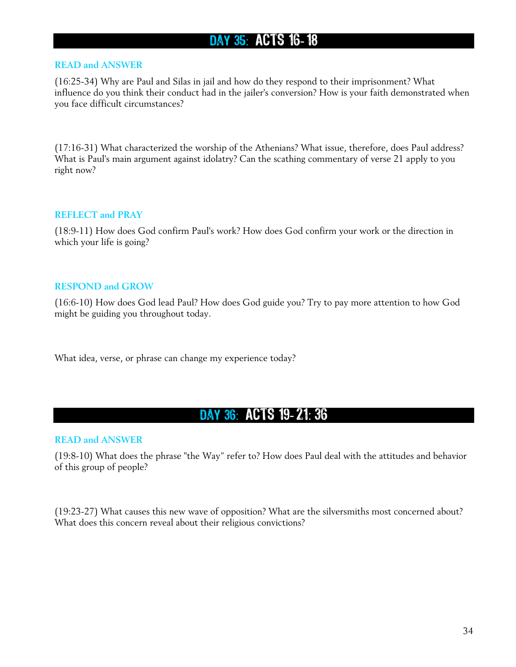## DAY 35: ACTS 16-18

#### **READ and ANSWER**

(16:25-34) Why are Paul and Silas in jail and how do they respond to their imprisonment? What influence do you think their conduct had in the jailer's conversion? How is your faith demonstrated when you face difficult circumstances?

(17:16-31) What characterized the worship of the Athenians? What issue, therefore, does Paul address? What is Paul's main argument against idolatry? Can the scathing commentary of verse 21 apply to you right now?

#### **REFLECT and PRAY**

(18:9-11) How does God confirm Paul's work? How does God confirm your work or the direction in which your life is going?

#### **RESPOND and GROW**

(16:6-10) How does God lead Paul? How does God guide you? Try to pay more attention to how God might be guiding you throughout today.

What idea, verse, or phrase can change my experience today?

### DAY 36: ACTS 19-21: 36

#### **READ and ANSWER**

(19:8-10) What does the phrase "the Way" refer to? How does Paul deal with the attitudes and behavior of this group of people?

(19:23-27) What causes this new wave of opposition? What are the silversmiths most concerned about? What does this concern reveal about their religious convictions?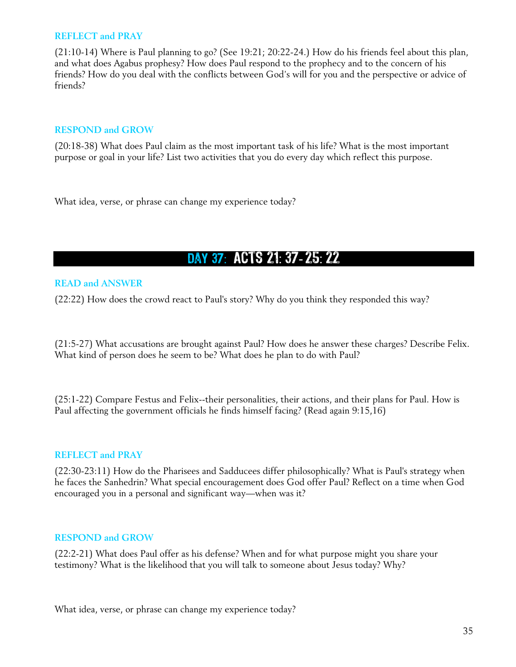(21:10-14) Where is Paul planning to go? (See 19:21; 20:22-24.) How do his friends feel about this plan, and what does Agabus prophesy? How does Paul respond to the prophecy and to the concern of his friends? How do you deal with the conflicts between God's will for you and the perspective or advice of friends?

#### **RESPOND and GROW**

(20:18-38) What does Paul claim as the most important task of his life? What is the most important purpose or goal in your life? List two activities that you do every day which reflect this purpose.

What idea, verse, or phrase can change my experience today?

# DAY 37: ACTS 21: 37-25: 22

#### **READ and ANSWER**

(22:22) How does the crowd react to Paul's story? Why do you think they responded this way?

(21:5-27) What accusations are brought against Paul? How does he answer these charges? Describe Felix. What kind of person does he seem to be? What does he plan to do with Paul?

(25:1-22) Compare Festus and Felix--their personalities, their actions, and their plans for Paul. How is Paul affecting the government officials he finds himself facing? (Read again 9:15,16)

#### **REFLECT and PRAY**

(22:30-23:11) How do the Pharisees and Sadducees differ philosophically? What is Paul's strategy when he faces the Sanhedrin? What special encouragement does God offer Paul? Reflect on a time when God encouraged you in a personal and significant way—when was it?

#### **RESPOND and GROW**

(22:2-21) What does Paul offer as his defense? When and for what purpose might you share your testimony? What is the likelihood that you will talk to someone about Jesus today? Why?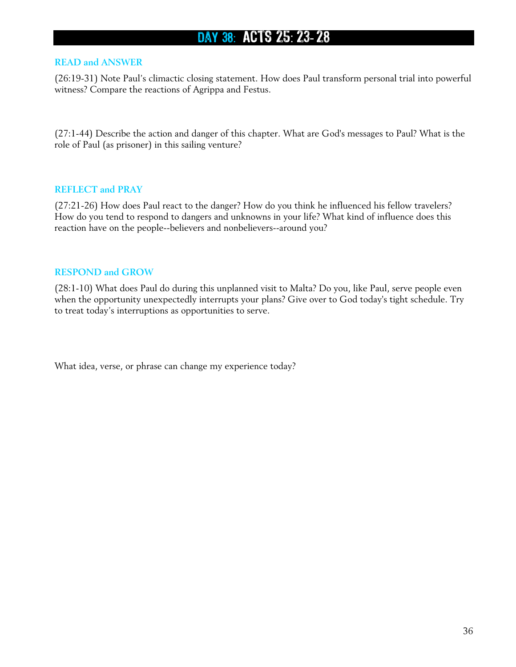# DAY 38: ACTS 25: 23-28

#### **READ and ANSWER**

(26:19-31) Note Paul's climactic closing statement. How does Paul transform personal trial into powerful witness? Compare the reactions of Agrippa and Festus.

(27:1-44) Describe the action and danger of this chapter. What are God's messages to Paul? What is the role of Paul (as prisoner) in this sailing venture?

#### **REFLECT and PRAY**

(27:21-26) How does Paul react to the danger? How do you think he influenced his fellow travelers? How do you tend to respond to dangers and unknowns in your life? What kind of influence does this reaction have on the people--believers and nonbelievers--around you?

#### **RESPOND and GROW**

(28:1-10) What does Paul do during this unplanned visit to Malta? Do you, like Paul, serve people even when the opportunity unexpectedly interrupts your plans? Give over to God today's tight schedule. Try to treat today's interruptions as opportunities to serve.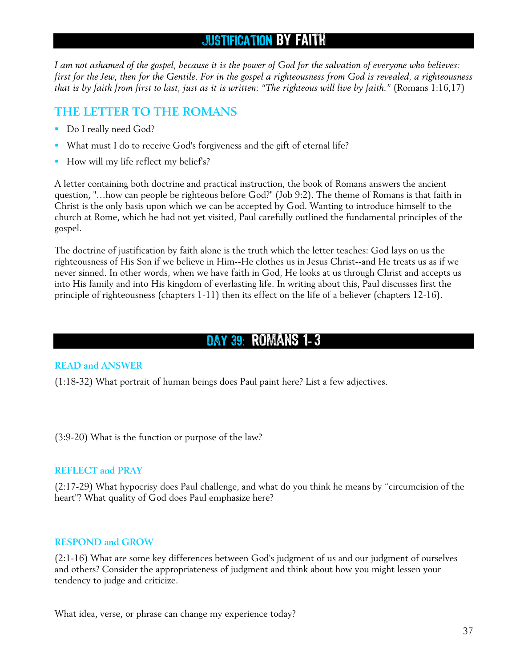## JUSTIFICATION BY FAITH

*I am not ashamed of the gospel, because it is the power of God for the salvation of everyone who believes: first for the Jew, then for the Gentile. For in the gospel a righteousness from God is revealed, a righteousness that is by faith from first to last, just as it is written: "The righteous will live by faith."* (Romans 1:16,17)

## **THE LETTER TO THE ROMANS**

- Do I really need God?
- What must I do to receive God's forgiveness and the gift of eternal life?
- How will my life reflect my belief's?

A letter containing both doctrine and practical instruction, the book of Romans answers the ancient question, "…how can people be righteous before God?" (Job 9:2). The theme of Romans is that faith in Christ is the only basis upon which we can be accepted by God. Wanting to introduce himself to the church at Rome, which he had not yet visited, Paul carefully outlined the fundamental principles of the gospel.

The doctrine of justification by faith alone is the truth which the letter teaches: God lays on us the righteousness of His Son if we believe in Him--He clothes us in Jesus Christ--and He treats us as if we never sinned. In other words, when we have faith in God, He looks at us through Christ and accepts us into His family and into His kingdom of everlasting life. In writing about this, Paul discusses first the principle of righteousness (chapters 1-11) then its effect on the life of a believer (chapters 12-16).

## DAY 39: ROMANS 1-3

## **READ and ANSWER**

(1:18-32) What portrait of human beings does Paul paint here? List a few adjectives.

(3:9-20) What is the function or purpose of the law?

### **REFLECT and PRAY**

(2:17-29) What hypocrisy does Paul challenge, and what do you think he means by "circumcision of the heart"? What quality of God does Paul emphasize here?

### **RESPOND and GROW**

(2:1-16) What are some key differences between God's judgment of us and our judgment of ourselves and others? Consider the appropriateness of judgment and think about how you might lessen your tendency to judge and criticize.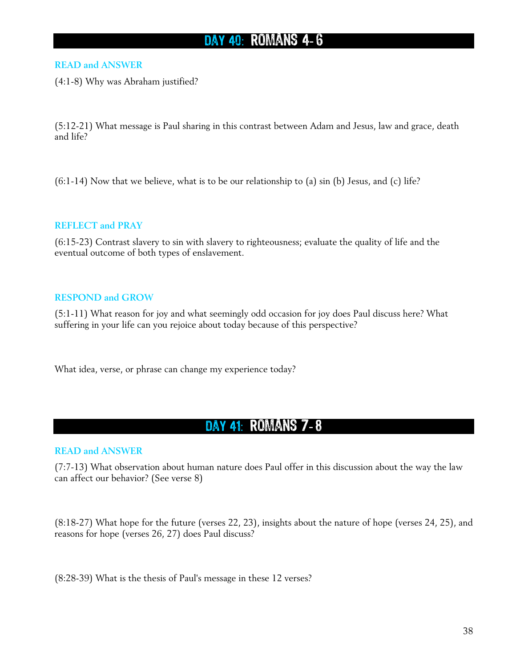# DAY 40: ROMANS 4-6

### **READ and ANSWER**

(4:1-8) Why was Abraham justified?

(5:12-21) What message is Paul sharing in this contrast between Adam and Jesus, law and grace, death and life?

 $(6:1-14)$  Now that we believe, what is to be our relationship to (a) sin (b) Jesus, and (c) life?

#### **REFLECT and PRAY**

(6:15-23) Contrast slavery to sin with slavery to righteousness; evaluate the quality of life and the eventual outcome of both types of enslavement.

#### **RESPOND and GROW**

(5:1-11) What reason for joy and what seemingly odd occasion for joy does Paul discuss here? What suffering in your life can you rejoice about today because of this perspective?

What idea, verse, or phrase can change my experience today?

## DAY 41: ROMANS 7-8

#### **READ and ANSWER**

(7:7-13) What observation about human nature does Paul offer in this discussion about the way the law can affect our behavior? (See verse 8)

(8:18-27) What hope for the future (verses 22, 23), insights about the nature of hope (verses 24, 25), and reasons for hope (verses 26, 27) does Paul discuss?

(8:28-39) What is the thesis of Paul's message in these 12 verses?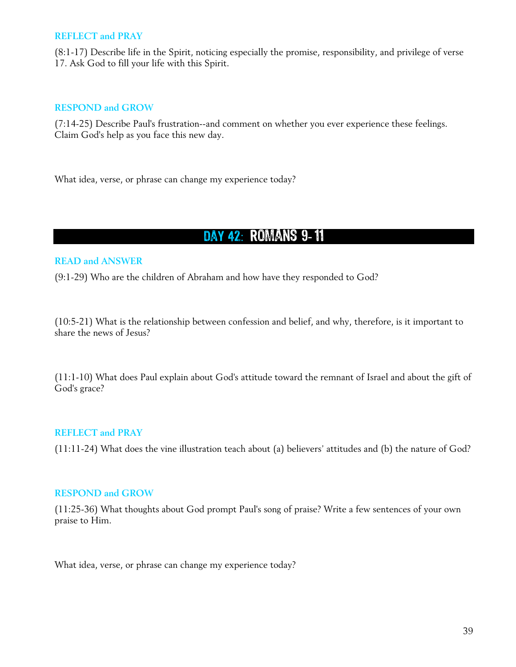#### **REFLECT and PRAY**

(8:1-17) Describe life in the Spirit, noticing especially the promise, responsibility, and privilege of verse 17. Ask God to fill your life with this Spirit.

#### **RESPOND and GROW**

(7:14-25) Describe Paul's frustration--and comment on whether you ever experience these feelings. Claim God's help as you face this new day.

What idea, verse, or phrase can change my experience today?

## Day 42 : Romans 9- 11

#### **READ and ANSWER**

(9:1-29) Who are the children of Abraham and how have they responded to God?

(10:5-21) What is the relationship between confession and belief, and why, therefore, is it important to share the news of Jesus?

(11:1-10) What does Paul explain about God's attitude toward the remnant of Israel and about the gift of God's grace?

### **REFLECT and PRAY**

(11:11-24) What does the vine illustration teach about (a) believers' attitudes and (b) the nature of God?

#### **RESPOND and GROW**

(11:25-36) What thoughts about God prompt Paul's song of praise? Write a few sentences of your own praise to Him.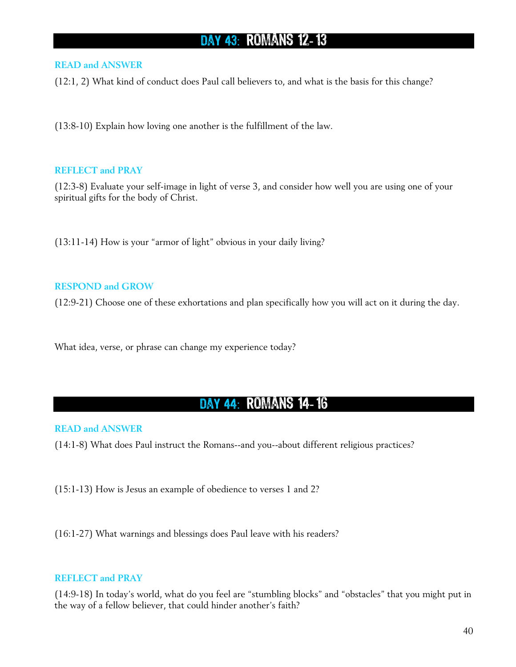## DAY 43: ROMANS 12-13

#### **READ and ANSWER**

(12:1, 2) What kind of conduct does Paul call believers to, and what is the basis for this change?

(13:8-10) Explain how loving one another is the fulfillment of the law.

#### **REFLECT and PRAY**

(12:3-8) Evaluate your self-image in light of verse 3, and consider how well you are using one of your spiritual gifts for the body of Christ.

(13:11-14) How is your "armor of light" obvious in your daily living?

### **RESPOND and GROW**

(12:9-21) Choose one of these exhortations and plan specifically how you will act on it during the day.

What idea, verse, or phrase can change my experience today?

## Day 44 : Romans 14- 16

#### **READ and ANSWER**

(14:1-8) What does Paul instruct the Romans--and you--about different religious practices?

(15:1-13) How is Jesus an example of obedience to verses 1 and 2?

(16:1-27) What warnings and blessings does Paul leave with his readers?

#### **REFLECT and PRAY**

(14:9-18) In today's world, what do you feel are "stumbling blocks" and "obstacles" that you might put in the way of a fellow believer, that could hinder another's faith?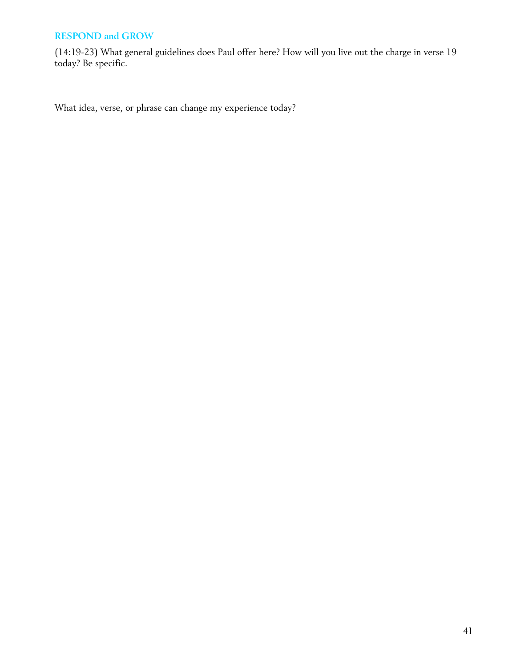(14:19-23) What general guidelines does Paul offer here? How will you live out the charge in verse 19 today? Be specific.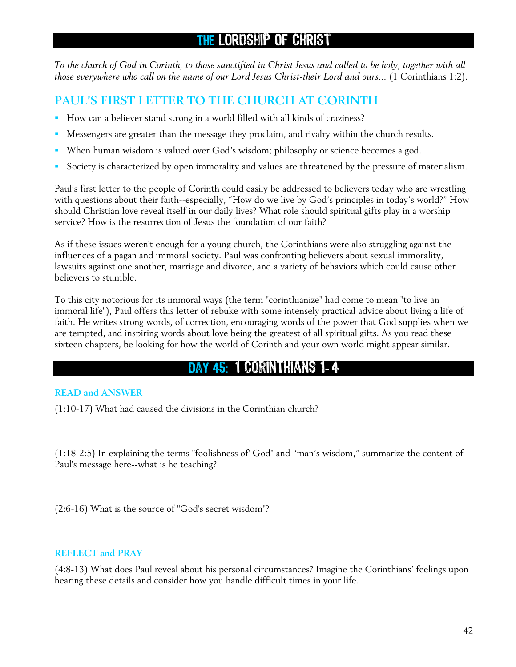*To the church of God in Corinth, to those sanctified in Christ Jesus and called to be holy, together with all those everywhere who call on the name of our Lord Jesus Christ-their Lord and ours...* (1 Corinthians 1:2).

## **PAUL'S FIRST LETTER TO THE CHURCH AT CORINTH**

- How can a believer stand strong in a world filled with all kinds of craziness?
- Messengers are greater than the message they proclaim, and rivalry within the church results.
- When human wisdom is valued over God's wisdom; philosophy or science becomes a god.
- Society is characterized by open immorality and values are threatened by the pressure of materialism.

Paul's first letter to the people of Corinth could easily be addressed to believers today who are wrestling with questions about their faith--especially, "How do we live by God's principles in today's world?" How should Christian love reveal itself in our daily lives? What role should spiritual gifts play in a worship service? How is the resurrection of Jesus the foundation of our faith?

As if these issues weren't enough for a young church, the Corinthians were also struggling against the influences of a pagan and immoral society. Paul was confronting believers about sexual immorality, lawsuits against one another, marriage and divorce, and a variety of behaviors which could cause other believers to stumble.

To this city notorious for its immoral ways (the term "corinthianize" had come to mean "to live an immoral life"), Paul offers this letter of rebuke with some intensely practical advice about living a life of faith. He writes strong words, of correction, encouraging words of the power that God supplies when we are tempted, and inspiring words about love being the greatest of all spiritual gifts. As you read these sixteen chapters, be looking for how the world of Corinth and your own world might appear similar.

## DAY 45: 1 CORINTHIANS 1-4

## **READ and ANSWER**

(1:10-17) What had caused the divisions in the Corinthian church?

(1:18-2:5) In explaining the terms "foolishness of' God" and "man's wisdom," summarize the content of Paul's message here--what is he teaching?

(2:6-16) What is the source of "God's secret wisdom"?

### **REFLECT and PRAY**

(4:8-13) What does Paul reveal about his personal circumstances? Imagine the Corinthians' feelings upon hearing these details and consider how you handle difficult times in your life.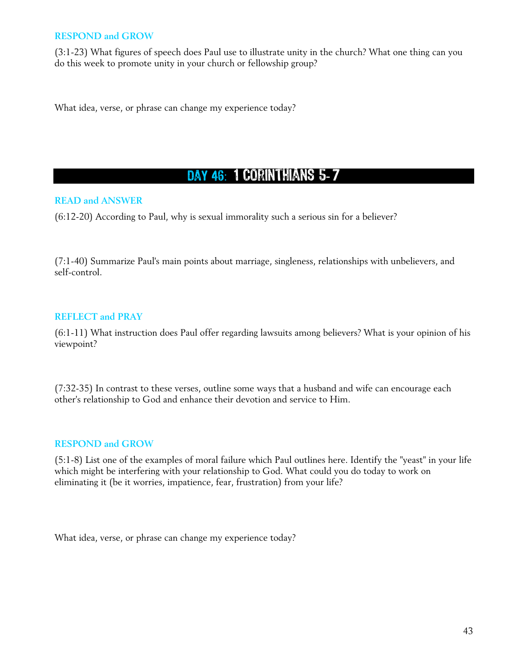(3:1-23) What figures of speech does Paul use to illustrate unity in the church? What one thing can you do this week to promote unity in your church or fellowship group?

What idea, verse, or phrase can change my experience today?

# DAY 46: 1 CORINTHIANS 5-7

## **READ and ANSWER**

(6:12-20) According to Paul, why is sexual immorality such a serious sin for a believer?

(7:1-40) Summarize Paul's main points about marriage, singleness, relationships with unbelievers, and self-control.

## **REFLECT and PRAY**

(6:1-11) What instruction does Paul offer regarding lawsuits among believers? What is your opinion of his viewpoint?

(7:32-35) In contrast to these verses, outline some ways that a husband and wife can encourage each other's relationship to God and enhance their devotion and service to Him.

### **RESPOND and GROW**

(5:1-8) List one of the examples of moral failure which Paul outlines here. Identify the "yeast" in your life which might be interfering with your relationship to God. What could you do today to work on eliminating it (be it worries, impatience, fear, frustration) from your life?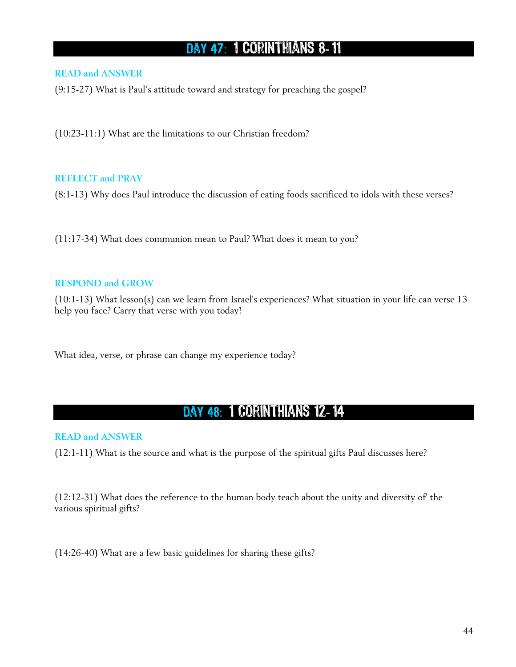# DAY 47: 1 CORINTHIANS 8-11

## **READ and ANSWER**

(9:15-27) What is Paul's attitude toward and strategy for preaching the gospel?

(10:23-11:1) What are the limitations to our Christian freedom?

### **REFLECT and PRAY**

(8:1-13) Why does Paul introduce the discussion of eating foods sacrificed to idols with these verses?

(11:17-34) What does communion mean to Paul? What does it mean to you?

### **RESPOND and GROW**

(10:1-13) What lesson(s) can we learn from Israel's experiences? What situation in your life can verse 13 help you face? Carry that verse with you today!

What idea, verse, or phrase can change my experience today?

## DAY 48: 1 CORINTHIANS 12-14

**READ and ANSWER** 

(12:1-11) What is the source and what is the purpose of the spiritual gifts Paul discusses here?

(12:12-31) What does the reference to the human body teach about the unity and diversity of' the various spiritual gifts?

(14:26-40) What are a few basic guidelines for sharing these gifts?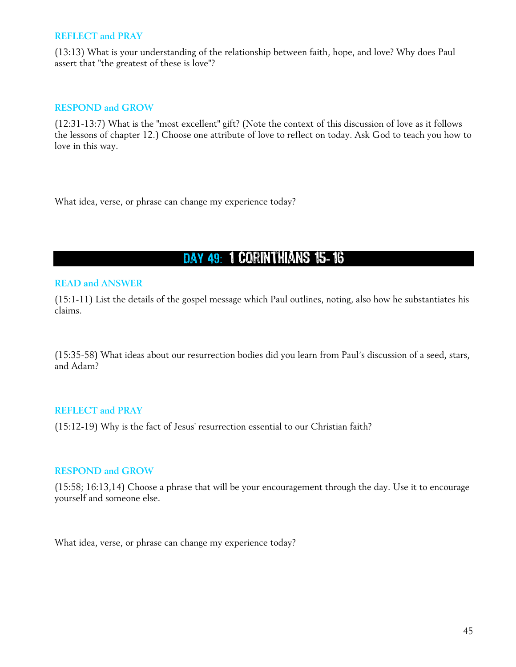#### **REFLECT and PRAY**

(13:13) What is your understanding of the relationship between faith, hope, and love? Why does Paul assert that "the greatest of these is love"?

#### **RESPOND and GROW**

(12:31-13:7) What is the "most excellent" gift? (Note the context of this discussion of love as it follows the lessons of chapter 12.) Choose one attribute of love to reflect on today. Ask God to teach you how to love in this way.

What idea, verse, or phrase can change my experience today?

DAY 49: 1 CORINTHIANS 15-16

#### **READ and ANSWER**

(15:1-11) List the details of the gospel message which Paul outlines, noting, also how he substantiates his claims.

(15:35-58) What ideas about our resurrection bodies did you learn from Paul's discussion of a seed, stars, and Adam?

### **REFLECT and PRAY**

(15:12-19) Why is the fact of Jesus' resurrection essential to our Christian faith?

### **RESPOND and GROW**

(15:58; 16:13,14) Choose a phrase that will be your encouragement through the day. Use it to encourage yourself and someone else.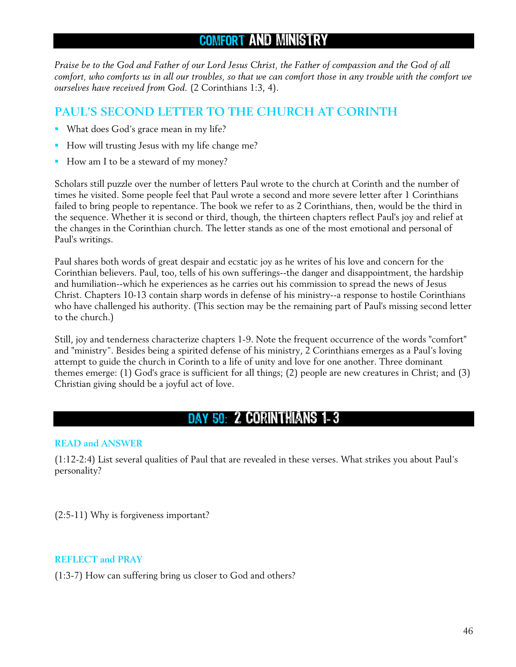# COMFORT AND MINISTRY

*Praise be to the God and Father of our Lord Jesus Christ, the Father of compassion and the God of all comfort, who comforts us in all our troubles, so that we can comfort those in any trouble with the comfort we ourselves have received from God.* (2 Corinthians 1:3, 4).

## **PAUL'S SECOND LETTER TO THE CHURCH AT CORINTH**

- What does God's grace mean in my life?
- How will trusting Jesus with my life change me?
- How am I to be a steward of my money?

Scholars still puzzle over the number of letters Paul wrote to the church at Corinth and the number of times he visited. Some people feel that Paul wrote a second and more severe letter after 1 Corinthians failed to bring people to repentance. The book we refer to as 2 Corinthians, then, would be the third in the sequence. Whether it is second or third, though, the thirteen chapters reflect Paul's joy and relief at the changes in the Corinthian church. The letter stands as one of the most emotional and personal of Paul's writings.

Paul shares both words of great despair and ecstatic joy as he writes of his love and concern for the Corinthian believers. Paul, too, tells of his own sufferings--the danger and disappointment, the hardship and humiliation--which he experiences as he carries out his commission to spread the news of Jesus Christ. Chapters 10-13 contain sharp words in defense of his ministry--a response to hostile Corinthians who have challenged his authority. (This section may be the remaining part of Paul's missing second letter to the church.)

Still, joy and tenderness characterize chapters 1-9. Note the frequent occurrence of the words "comfort" and "ministry". Besides being a spirited defense of his ministry, 2 Corinthians emerges as a Paul's loving attempt to guide the church in Corinth to a life of unity and love for one another. Three dominant themes emerge: (1) God's grace is sufficient for all things; (2) people are new creatures in Christ; and (3) Christian giving should be a joyful act of love.

## Day 50 : 2 Corinthians 1- 3

### **READ and ANSWER**

(1:12-2:4) List several qualities of Paul that are revealed in these verses. What strikes you about Paul's personality?

(2:5-11) Why is forgiveness important?

### **REFLECT and PRAY**

(1:3-7) How can suffering bring us closer to God and others?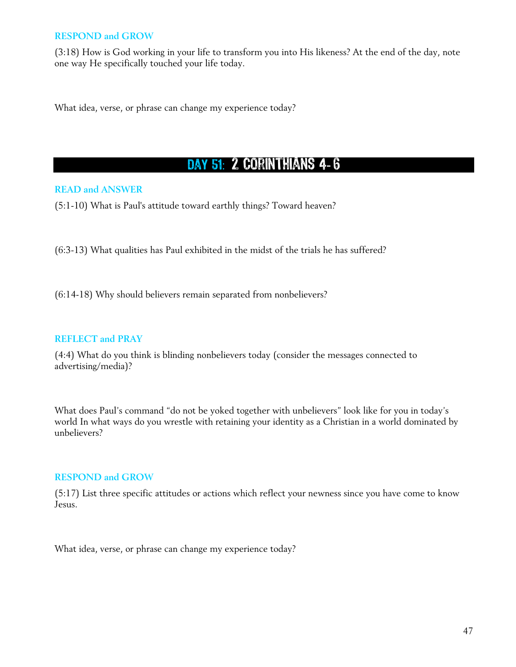(3:18) How is God working in your life to transform you into His likeness? At the end of the day, note one way He specifically touched your life today.

What idea, verse, or phrase can change my experience today?

# DAY 51: 2 CORINTHIANS 4-6

## **READ and ANSWER**

(5:1-10) What is Paul's attitude toward earthly things? Toward heaven?

(6:3-13) What qualities has Paul exhibited in the midst of the trials he has suffered?

(6:14-18) Why should believers remain separated from nonbelievers?

### **REFLECT and PRAY**

(4:4) What do you think is blinding nonbelievers today (consider the messages connected to advertising/media)?

What does Paul's command "do not be yoked together with unbelievers" look like for you in today's world In what ways do you wrestle with retaining your identity as a Christian in a world dominated by unbelievers?

### **RESPOND and GROW**

(5:17) List three specific attitudes or actions which reflect your newness since you have come to know Jesus.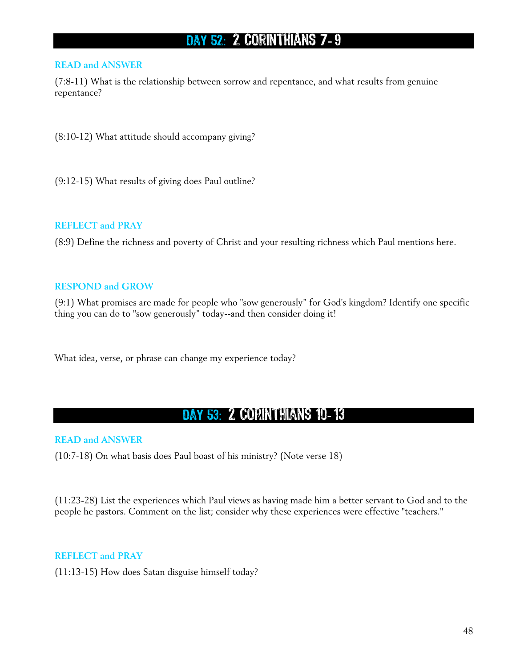# DAY 52: 2 CORINTHIANS 7-9

#### **READ and ANSWER**

(7:8-11) What is the relationship between sorrow and repentance, and what results from genuine repentance?

(8:10-12) What attitude should accompany giving?

(9:12-15) What results of giving does Paul outline?

#### **REFLECT and PRAY**

(8:9) Define the richness and poverty of Christ and your resulting richness which Paul mentions here.

### **RESPOND and GROW**

(9:1) What promises are made for people who "sow generously" for God's kingdom? Identify one specific thing you can do to "sow generously" today--and then consider doing it!

What idea, verse, or phrase can change my experience today?

# DAY 53: 2 CORINTHIANS 10-13

### **READ and ANSWER**

(10:7-18) On what basis does Paul boast of his ministry? (Note verse 18)

(11:23-28) List the experiences which Paul views as having made him a better servant to God and to the people he pastors. Comment on the list; consider why these experiences were effective "teachers."

## **REFLECT and PRAY**

(11:13-15) How does Satan disguise himself today?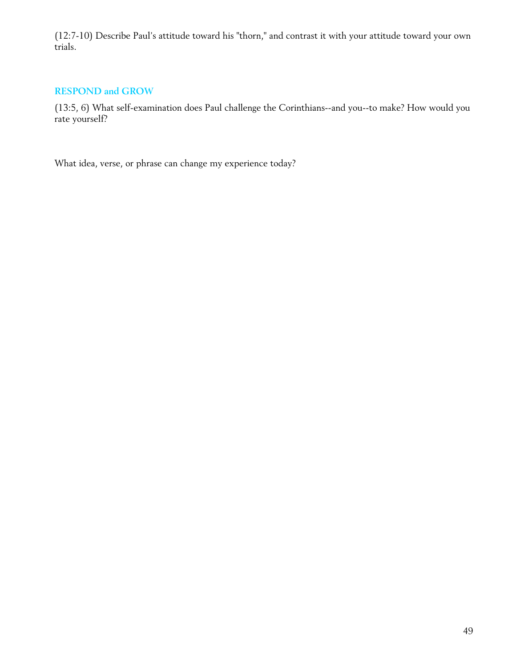(12:7-10) Describe Paul's attitude toward his "thorn," and contrast it with your attitude toward your own trials.

## **RESPOND and GROW**

(13:5, 6) What self-examination does Paul challenge the Corinthians--and you--to make? How would you rate yourself?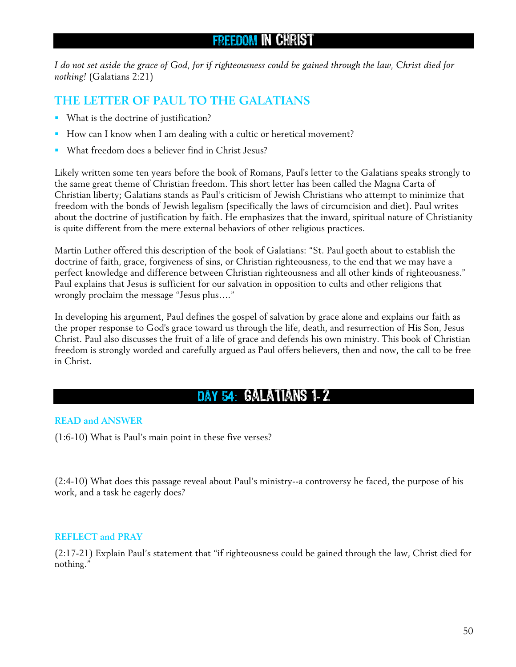## Freedom in Christ

*I do not set aside the grace of God, for if righteousness could be gained through the law, Christ died for nothing!* (Galatians 2:21)

## **THE LETTER OF PAUL TO THE GALATIANS**

- What is the doctrine of justification?
- How can I know when I am dealing with a cultic or heretical movement?
- What freedom does a believer find in Christ Jesus?

Likely written some ten years before the book of Romans, Paul's letter to the Galatians speaks strongly to the same great theme of Christian freedom. This short letter has been called the Magna Carta of Christian liberty; Galatians stands as Paul's criticism of Jewish Christians who attempt to minimize that freedom with the bonds of Jewish legalism (specifically the laws of circumcision and diet). Paul writes about the doctrine of justification by faith. He emphasizes that the inward, spiritual nature of Christianity is quite different from the mere external behaviors of other religious practices.

Martin Luther offered this description of the book of Galatians: "St. Paul goeth about to establish the doctrine of faith, grace, forgiveness of sins, or Christian righteousness, to the end that we may have a perfect knowledge and difference between Christian righteousness and all other kinds of righteousness." Paul explains that Jesus is sufficient for our salvation in opposition to cults and other religions that wrongly proclaim the message "Jesus plus…."

In developing his argument, Paul defines the gospel of salvation by grace alone and explains our faith as the proper response to God's grace toward us through the life, death, and resurrection of His Son, Jesus Christ. Paul also discusses the fruit of a life of grace and defends his own ministry. This book of Christian freedom is strongly worded and carefully argued as Paul offers believers, then and now, the call to be free in Christ.

# DAY 54: GALATIANS 1-2

## **READ and ANSWER**

(1:6-10) What is Paul's main point in these five verses?

(2:4-10) What does this passage reveal about Paul's ministry--a controversy he faced, the purpose of his work, and a task he eagerly does?

### **REFLECT and PRAY**

(2:17-21) Explain Paul's statement that "if righteousness could be gained through the law, Christ died for nothing."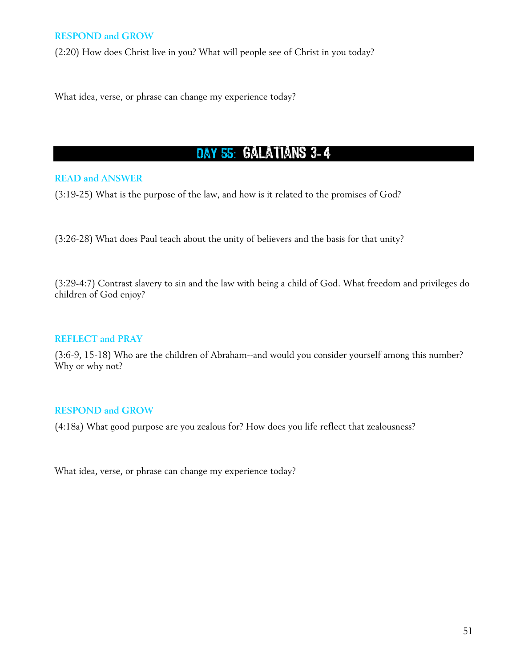(2:20) How does Christ live in you? What will people see of Christ in you today?

What idea, verse, or phrase can change my experience today?

## DAY 55: GALATIANS 3-4

### **READ and ANSWER**

(3:19-25) What is the purpose of the law, and how is it related to the promises of God?

(3:26-28) What does Paul teach about the unity of believers and the basis for that unity?

(3:29-4:7) Contrast slavery to sin and the law with being a child of God. What freedom and privileges do children of God enjoy?

#### **REFLECT and PRAY**

(3:6-9, 15-18) Who are the children of Abraham--and would you consider yourself among this number? Why or why not?

## **RESPOND and GROW**

(4:18a) What good purpose are you zealous for? How does you life reflect that zealousness?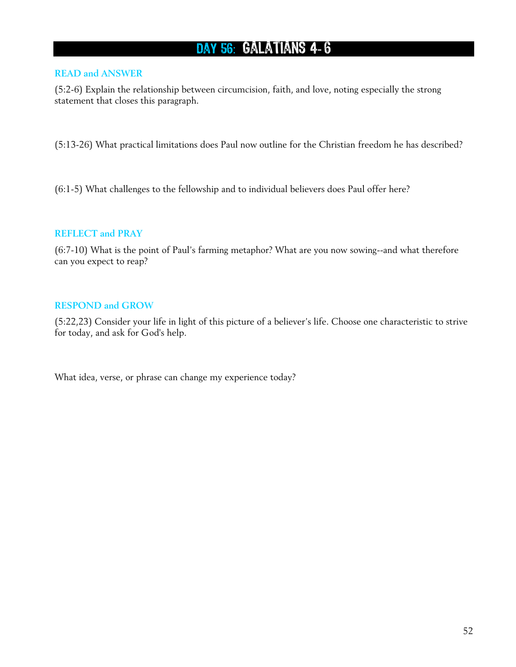# DAY 56: GALATIANS 4-6

### **READ and ANSWER**

(5:2-6) Explain the relationship between circumcision, faith, and love, noting especially the strong statement that closes this paragraph.

(5:13-26) What practical limitations does Paul now outline for the Christian freedom he has described?

(6:1-5) What challenges to the fellowship and to individual believers does Paul offer here?

## **REFLECT and PRAY**

(6:7-10) What is the point of Paul's farming metaphor? What are you now sowing--and what therefore can you expect to reap?

## **RESPOND and GROW**

(5:22,23) Consider your life in light of this picture of a believer's life. Choose one characteristic to strive for today, and ask for God's help.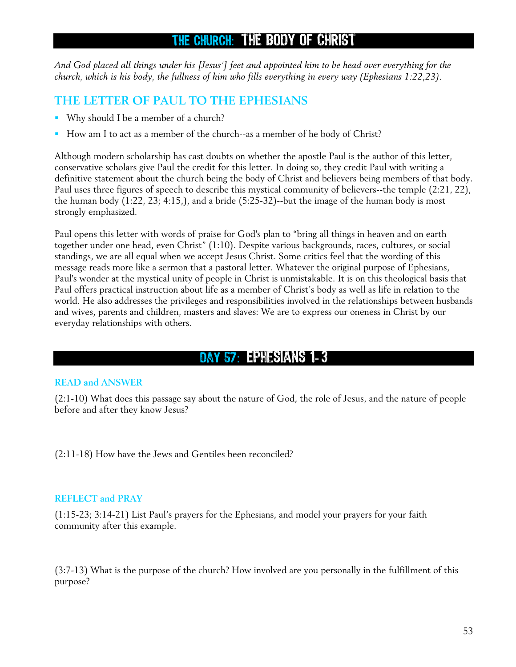## THE CHURCH: THE BODY OF CHRIST

*And God placed all things under his [Jesus'] feet and appointed him to be head over everything for the church, which is his body, the fullness of him who fills everything in every way (Ephesians 1:22,23).* 

## **THE LETTER OF PAUL TO THE EPHESIANS**

- Why should I be a member of a church?
- How am I to act as a member of the church--as a member of he body of Christ?

Although modern scholarship has cast doubts on whether the apostle Paul is the author of this letter, conservative scholars give Paul the credit for this letter. In doing so, they credit Paul with writing a definitive statement about the church being the body of Christ and believers being members of that body. Paul uses three figures of speech to describe this mystical community of believers--the temple (2:21, 22), the human body (1:22, 23; 4:15,), and a bride (5:25-32)--but the image of the human body is most strongly emphasized.

Paul opens this letter with words of praise for God's plan to "bring all things in heaven and on earth together under one head, even Christ" (1:10). Despite various backgrounds, races, cultures, or social standings, we are all equal when we accept Jesus Christ. Some critics feel that the wording of this message reads more like a sermon that a pastoral letter. Whatever the original purpose of Ephesians, Paul's wonder at the mystical unity of people in Christ is unmistakable. It is on this theological basis that Paul offers practical instruction about life as a member of Christ's body as well as life in relation to the world. He also addresses the privileges and responsibilities involved in the relationships between husbands and wives, parents and children, masters and slaves: We are to express our oneness in Christ by our everyday relationships with others.

## DAY 57: EPHESIANS 1-3

## **READ and ANSWER**

(2:1-10) What does this passage say about the nature of God, the role of Jesus, and the nature of people before and after they know Jesus?

(2:11-18) How have the Jews and Gentiles been reconciled?

### **REFLECT and PRAY**

(1:15-23; 3:14-21) List Paul's prayers for the Ephesians, and model your prayers for your faith community after this example.

(3:7-13) What is the purpose of the church? How involved are you personally in the fulfillment of this purpose?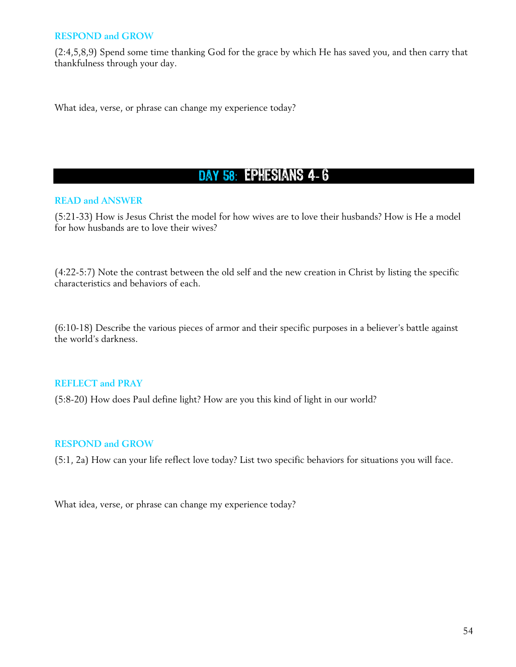(2:4,5,8,9) Spend some time thanking God for the grace by which He has saved you, and then carry that thankfulness through your day.

What idea, verse, or phrase can change my experience today?

## DAY 58: EPHESIANS 4-6

### **READ and ANSWER**

(5:21-33) How is Jesus Christ the model for how wives are to love their husbands? How is He a model for how husbands are to love their wives?

(4:22-5:7) Note the contrast between the old self and the new creation in Christ by listing the specific characteristics and behaviors of each.

(6:10-18) Describe the various pieces of armor and their specific purposes in a believer's battle against the world's darkness.

### **REFLECT and PRAY**

(5:8-20) How does Paul define light? How are you this kind of light in our world?

### **RESPOND and GROW**

(5:1, 2a) How can your life reflect love today? List two specific behaviors for situations you will face.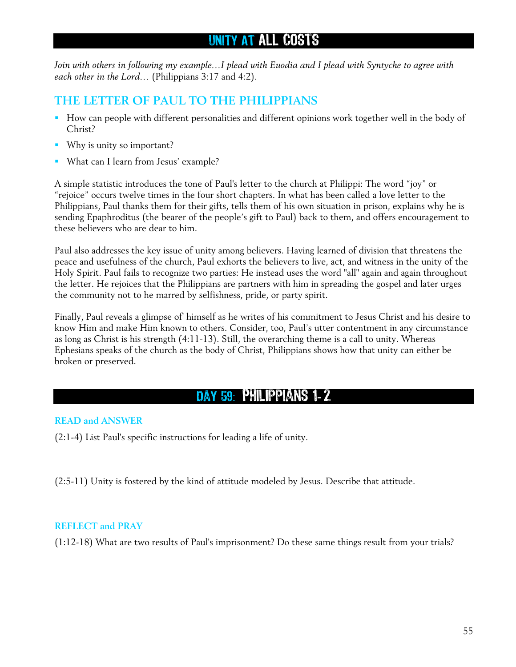## UNITY AT ALL COSTS

*Join with others in following my example…I plead with Euodia and I plead with Syntyche to agree with each other in the Lord…* (Philippians 3:17 and 4:2).

## **THE LETTER OF PAUL TO THE PHILIPPIANS**

- **How can people with different personalities and different opinions work together well in the body of** Christ?
- Why is unity so important?
- What can I learn from Jesus' example?

A simple statistic introduces the tone of Paul's letter to the church at Philippi: The word "joy" or "rejoice" occurs twelve times in the four short chapters. In what has been called a love letter to the Philippians, Paul thanks them for their gifts, tells them of his own situation in prison, explains why he is sending Epaphroditus (the bearer of the people's gift to Paul) back to them, and offers encouragement to these believers who are dear to him.

Paul also addresses the key issue of unity among believers. Having learned of division that threatens the peace and usefulness of the church, Paul exhorts the believers to live, act, and witness in the unity of the Holy Spirit. Paul fails to recognize two parties: He instead uses the word "all" again and again throughout the letter. He rejoices that the Philippians are partners with him in spreading the gospel and later urges the community not to he marred by selfishness, pride, or party spirit.

Finally, Paul reveals a glimpse of' himself as he writes of his commitment to Jesus Christ and his desire to know Him and make Him known to others. Consider, too, Paul's utter contentment in any circumstance as long as Christ is his strength (4:11-13). Still, the overarching theme is a call to unity. Whereas Ephesians speaks of the church as the body of Christ, Philippians shows how that unity can either be broken or preserved.

## Day 59 : Philippians 1- 2

## **READ and ANSWER**

(2:1-4) List Paul's specific instructions for leading a life of unity.

(2:5-11) Unity is fostered by the kind of attitude modeled by Jesus. Describe that attitude.

### **REFLECT and PRAY**

(1:12-18) What are two results of Paul's imprisonment? Do these same things result from your trials?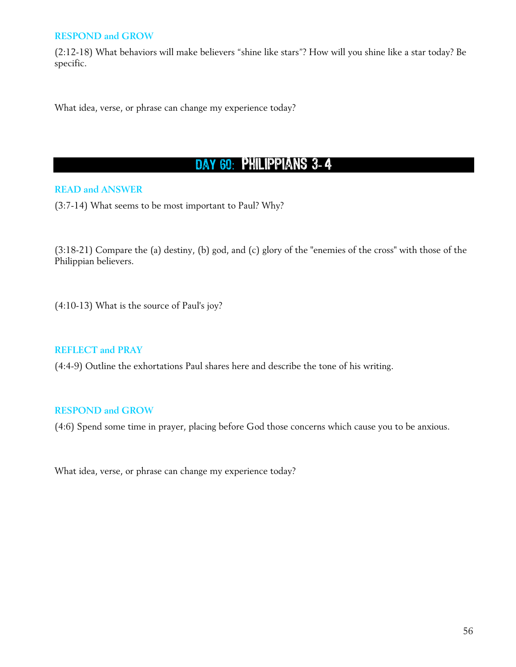(2:12-18) What behaviors will make believers "shine like stars"? How will you shine like a star today? Be specific.

What idea, verse, or phrase can change my experience today?

# DAY 60: PHILIPPIANS 3-4

### **READ and ANSWER**

(3:7-14) What seems to be most important to Paul? Why?

(3:18-21) Compare the (a) destiny, (b) god, and (c) glory of the "enemies of the cross" with those of the Philippian believers.

(4:10-13) What is the source of Paul's joy?

### **REFLECT and PRAY**

(4:4-9) Outline the exhortations Paul shares here and describe the tone of his writing.

### **RESPOND and GROW**

(4:6) Spend some time in prayer, placing before God those concerns which cause you to be anxious.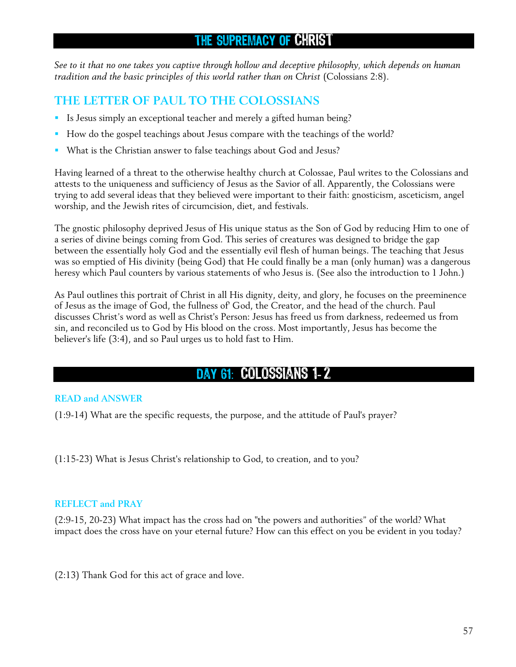## THE SUPREMACY OF CHRIST

*See to it that no one takes you captive through hollow and deceptive philosophy, which depends on human tradition and the basic principles of this world rather than on Christ (Colossians 2:8).* 

## **THE LETTER OF PAUL TO THE COLOSSIANS**

- Is Jesus simply an exceptional teacher and merely a gifted human being?
- How do the gospel teachings about Jesus compare with the teachings of the world?
- What is the Christian answer to false teachings about God and Jesus?

Having learned of a threat to the otherwise healthy church at Colossae, Paul writes to the Colossians and attests to the uniqueness and sufficiency of Jesus as the Savior of all. Apparently, the Colossians were trying to add several ideas that they believed were important to their faith: gnosticism, asceticism, angel worship, and the Jewish rites of circumcision, diet, and festivals.

The gnostic philosophy deprived Jesus of His unique status as the Son of God by reducing Him to one of a series of divine beings coming from God. This series of creatures was designed to bridge the gap between the essentially holy God and the essentially evil flesh of human beings. The teaching that Jesus was so emptied of His divinity (being God) that He could finally be a man (only human) was a dangerous heresy which Paul counters by various statements of who Jesus is. (See also the introduction to 1 John.)

As Paul outlines this portrait of Christ in all His dignity, deity, and glory, he focuses on the preeminence of Jesus as the image of God, the fullness of' God, the Creator, and the head of the church. Paul discusses Christ's word as well as Christ's Person: Jesus has freed us from darkness, redeemed us from sin, and reconciled us to God by His blood on the cross. Most importantly, Jesus has become the believer's life (3:4), and so Paul urges us to hold fast to Him.

# DAY 61: COLOSSIANS 1-2

## **READ and ANSWER**

(1:9-14) What are the specific requests, the purpose, and the attitude of Paul's prayer?

(1:15-23) What is Jesus Christ's relationship to God, to creation, and to you?

## **REFLECT and PRAY**

(2:9-15, 20-23) What impact has the cross had on "the powers and authorities" of the world? What impact does the cross have on your eternal future? How can this effect on you be evident in you today?

(2:13) Thank God for this act of grace and love.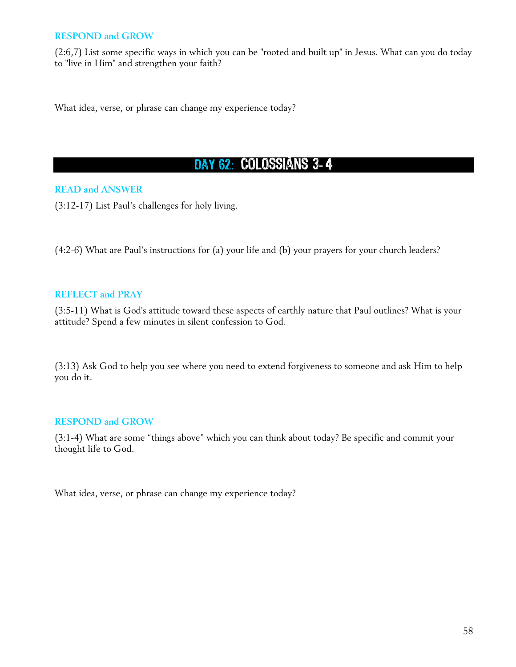(2:6,7) List some specific ways in which you can be "rooted and built up" in Jesus. What can you do today to "live in Him" and strengthen your faith?

What idea, verse, or phrase can change my experience today?

# DAY 62: COLOSSIANS 3-4

## **READ and ANSWER**

(3:12-17) List Paul's challenges for holy living.

(4:2-6) What are Paul's instructions for (a) your life and (b) your prayers for your church leaders?

### **REFLECT and PRAY**

(3:5-11) What is God's attitude toward these aspects of earthly nature that Paul outlines? What is your attitude? Spend a few minutes in silent confession to God.

(3:13) Ask God to help you see where you need to extend forgiveness to someone and ask Him to help you do it.

### **RESPOND and GROW**

(3:1-4) What are some "things above" which you can think about today? Be specific and commit your thought life to God.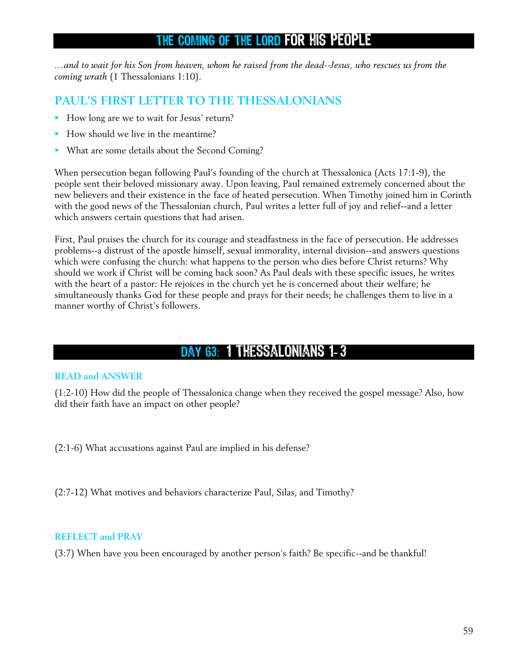## THE COMING OF THE LORD FOR HIS PEOPLE

*…and to wait for his Son from heaven, whom he raised from the dead--Jesus, who rescues us from the coming wrath* (1 Thessalonians 1:10).

## **PAUL'S FIRST LETTER TO THE THESSALONIANS**

- How long are we to wait for Jesus' return?
- How should we live in the meantime?
- What are some details about the Second Coming?

When persecution began following Paul's founding of the church at Thessalonica (Acts 17:1-9), the people sent their beloved missionary away. Upon leaving, Paul remained extremely concerned about the new believers and their existence in the face of heated persecution. When Timothy joined him in Corinth with the good news of the Thessalonian church, Paul writes a letter full of joy and relief--and a letter which answers certain questions that had arisen.

First, Paul praises the church for its courage and steadfastness in the face of persecution. He addresses problems--a distrust of the apostle himself, sexual immorality, internal division--and answers questions which were confusing the church: what happens to the person who dies before Christ returns? Why should we work if Christ will be coming back soon? As Paul deals with these specific issues, he writes with the heart of a pastor: He rejoices in the church yet he is concerned about their welfare; he simultaneously thanks God for these people and prays for their needs; he challenges them to live in a manner worthy of Christ's followers.

## DAY 63: 1 THESSALONIANS 1-3

### **READ and ANSWER**

(1:2-10) How did the people of Thessalonica change when they received the gospel message? Also, how did their faith have an impact on other people?

(2:1-6) What accusations against Paul are implied in his defense?

(2:7-12) What motives and behaviors characterize Paul, Silas, and Timothy?

### **REFLECT and PRAY**

(3:7) When have you been encouraged by another person's faith? Be specific--and be thankful!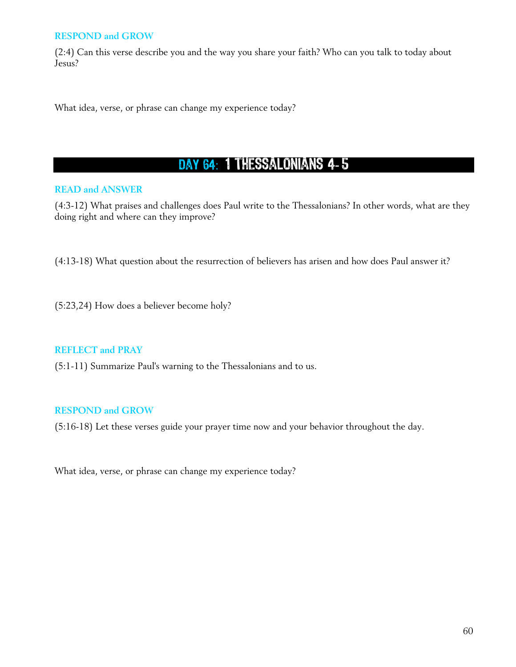(2:4) Can this verse describe you and the way you share your faith? Who can you talk to today about Jesus?

What idea, verse, or phrase can change my experience today?

# DAY 64: 1 THESSALONIANS 4-5

## **READ and ANSWER**

(4:3-12) What praises and challenges does Paul write to the Thessalonians? In other words, what are they doing right and where can they improve?

(4:13-18) What question about the resurrection of believers has arisen and how does Paul answer it?

(5:23,24) How does a believer become holy?

## **REFLECT and PRAY**

(5:1-11) Summarize Paul's warning to the Thessalonians and to us.

## **RESPOND and GROW**

(5:16-18) Let these verses guide your prayer time now and your behavior throughout the day.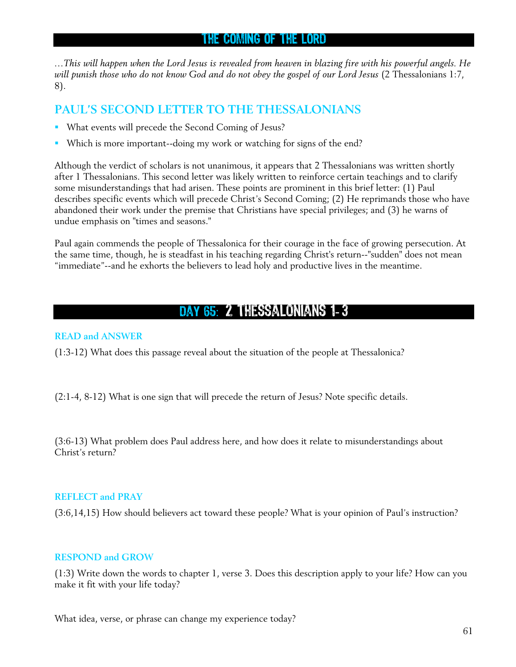## THE COMING OF THE LORD

*…This will happen when the Lord Jesus is revealed from heaven in blazing fire with his powerful angels. He will punish those who do not know God and do not obey the gospel of our Lord Jesus* (2 Thessalonians 1:7, 8).

## **PAUL'S SECOND LETTER TO THE THESSALONIANS**

- What events will precede the Second Coming of Jesus?
- Which is more important--doing my work or watching for signs of the end?

Although the verdict of scholars is not unanimous, it appears that 2 Thessalonians was written shortly after 1 Thessalonians. This second letter was likely written to reinforce certain teachings and to clarify some misunderstandings that had arisen. These points are prominent in this brief letter: (1) Paul describes specific events which will precede Christ's Second Coming; (2) He reprimands those who have abandoned their work under the premise that Christians have special privileges; and (3) he warns of undue emphasis on "times and seasons."

Paul again commends the people of Thessalonica for their courage in the face of growing persecution. At the same time, though, he is steadfast in his teaching regarding Christ's return--"sudden" does not mean "immediate"--and he exhorts the believers to lead holy and productive lives in the meantime.

## DAY 65: 2 THESSALONIANS 1-3

## **READ and ANSWER**

(1:3-12) What does this passage reveal about the situation of the people at Thessalonica?

(2:1-4, 8-12) What is one sign that will precede the return of Jesus? Note specific details.

(3:6-13) What problem does Paul address here, and how does it relate to misunderstandings about Christ's return?

### **REFLECT and PRAY**

(3:6,14,15) How should believers act toward these people? What is your opinion of Paul's instruction?

### **RESPOND and GROW**

(1:3) Write down the words to chapter 1, verse 3. Does this description apply to your life? How can you make it fit with your life today?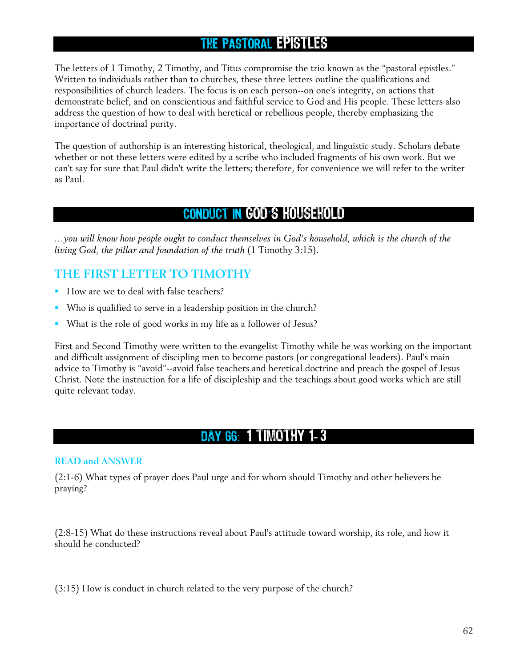## THE PASTORAL EPISTLES

The letters of 1 Timothy, 2 Timothy, and Titus compromise the trio known as the "pastoral epistles." Written to individuals rather than to churches, these three letters outline the qualifications and responsibilities of church leaders. The focus is on each person--on one's integrity, on actions that demonstrate belief, and on conscientious and faithful service to God and His people. These letters also address the question of how to deal with heretical or rebellious people, thereby emphasizing the importance of doctrinal purity.

The question of authorship is an interesting historical, theological, and linguistic study. Scholars debate whether or not these letters were edited by a scribe who included fragments of his own work. But we can't say for sure that Paul didn't write the letters; therefore, for convenience we will refer to the writer as Paul.

## CONDUCT IN GOD'S HOUSEHOLD

*…you will know how people ought to conduct themselves in God's household, which is the church of the living God, the pillar and foundation of the truth* (1 Timothy 3:15).

## **THE FIRST LETTER TO TIMOTHY**

- How are we to deal with false teachers?
- Who is qualified to serve in a leadership position in the church?
- What is the role of good works in my life as a follower of Jesus?

First and Second Timothy were written to the evangelist Timothy while he was working on the important and difficult assignment of discipling men to become pastors (or congregational leaders). Paul's main advice to Timothy is "avoid"--avoid false teachers and heretical doctrine and preach the gospel of Jesus Christ. Note the instruction for a life of discipleship and the teachings about good works which are still quite relevant today.

## Day 66 : 1 Timothy 1- 3

### **READ and ANSWER**

(2:1-6) What types of prayer does Paul urge and for whom should Timothy and other believers be praying?

(2:8-15) What do these instructions reveal about Paul's attitude toward worship, its role, and how it should he conducted?

(3:15) How is conduct in church related to the very purpose of the church?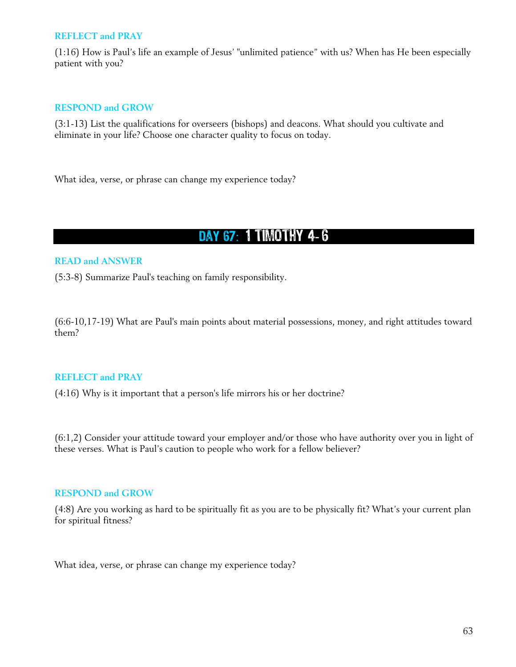#### **REFLECT and PRAY**

(1:16) How is Paul's life an example of Jesus' "unlimited patience" with us? When has He been especially patient with you?

#### **RESPOND and GROW**

(3:1-13) List the qualifications for overseers (bishops) and deacons. What should you cultivate and eliminate in your life? Choose one character quality to focus on today.

What idea, verse, or phrase can change my experience today?

## DAY 67: 1 TIMOTHY 4-6

#### **READ and ANSWER**

(5:3-8) Summarize Paul's teaching on family responsibility.

(6:6-10,17-19) What are Paul's main points about material possessions, money, and right attitudes toward them?

#### **REFLECT and PRAY**

(4:16) Why is it important that a person's life mirrors his or her doctrine?

(6:1,2) Consider your attitude toward your employer and/or those who have authority over you in light of these verses. What is Paul's caution to people who work for a fellow believer?

## **RESPOND and GROW**

(4:8) Are you working as hard to be spiritually fit as you are to be physically fit? What's your current plan for spiritual fitness?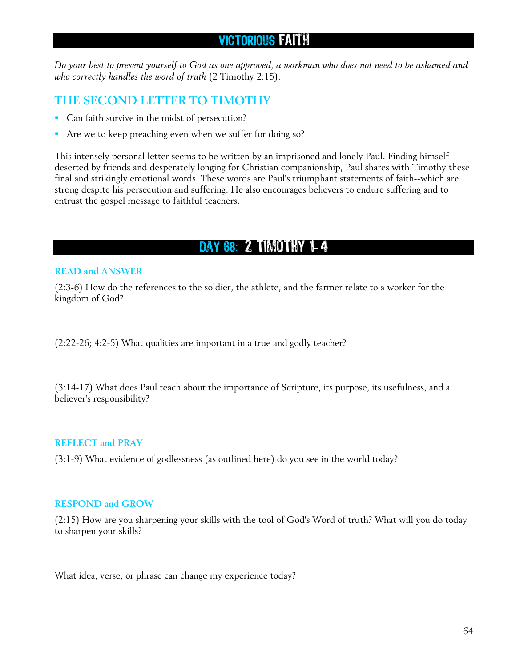## VICTORIOUS FAITH

*Do your best to present yourself to God as one approved, a workman who does not need to be ashamed and who correctly handles the word of truth* (2 Timothy 2:15).

## **THE SECOND LETTER TO TIMOTHY**

- **Can faith survive in the midst of persecution?**
- Are we to keep preaching even when we suffer for doing so?

This intensely personal letter seems to be written by an imprisoned and lonely Paul. Finding himself deserted by friends and desperately longing for Christian companionship, Paul shares with Timothy these final and strikingly emotional words. These words are Paul's triumphant statements of faith--which are strong despite his persecution and suffering. He also encourages believers to endure suffering and to entrust the gospel message to faithful teachers.

# DAY 68: 2 TIMOTHY 1-4

## **READ and ANSWER**

(2:3-6) How do the references to the soldier, the athlete, and the farmer relate to a worker for the kingdom of God?

(2:22-26; 4:2-5) What qualities are important in a true and godly teacher?

(3:14-17) What does Paul teach about the importance of Scripture, its purpose, its usefulness, and a believer's responsibility?

### **REFLECT and PRAY**

(3:1-9) What evidence of godlessness (as outlined here) do you see in the world today?

### **RESPOND and GROW**

(2:15) How are you sharpening your skills with the tool of God's Word of truth? What will you do today to sharpen your skills?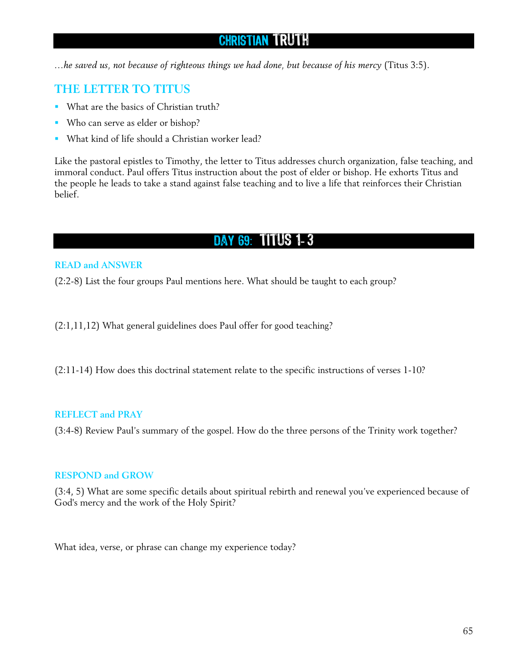## CHRISTIAN TRUTH

*…he saved us, not because of righteous things we had done, but because of his mercy* (Titus 3:5).

## **THE LETTER TO TITUS**

- What are the basics of Christian truth?
- Who can serve as elder or bishop?
- What kind of life should a Christian worker lead?

Like the pastoral epistles to Timothy, the letter to Titus addresses church organization, false teaching, and immoral conduct. Paul offers Titus instruction about the post of elder or bishop. He exhorts Titus and the people he leads to take a stand against false teaching and to live a life that reinforces their Christian belief.

# Day 69 : Titus 1- 3

### **READ and ANSWER**

(2:2-8) List the four groups Paul mentions here. What should be taught to each group?

(2:1,11,12) What general guidelines does Paul offer for good teaching?

(2:11-14) How does this doctrinal statement relate to the specific instructions of verses 1-10?

### **REFLECT and PRAY**

(3:4-8) Review Paul's summary of the gospel. How do the three persons of the Trinity work together?

### **RESPOND and GROW**

(3:4, 5) What are some specific details about spiritual rebirth and renewal you've experienced because of God's mercy and the work of the Holy Spirit?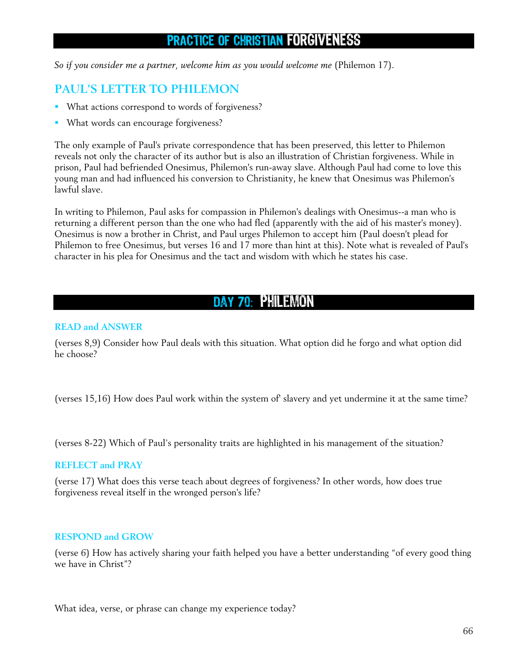## PRACTICE OF CHRISTIAN FORGIVENESS

*So if you consider me a partner, welcome him as you would welcome me* (Philemon 17).

## **PAUL'S LETTER TO PHILEMON**

- What actions correspond to words of forgiveness?
- What words can encourage forgiveness?

The only example of Paul's private correspondence that has been preserved, this letter to Philemon reveals not only the character of its author but is also an illustration of Christian forgiveness. While in prison, Paul had befriended Onesimus, Philemon's run-away slave. Although Paul had come to love this young man and had influenced his conversion to Christianity, he knew that Onesimus was Philemon's lawful slave.

In writing to Philemon, Paul asks for compassion in Philemon's dealings with Onesimus--a man who is returning a different person than the one who had fled (apparently with the aid of his master's money). Onesimus is now a brother in Christ, and Paul urges Philemon to accept him (Paul doesn't plead for Philemon to free Onesimus, but verses 16 and 17 more than hint at this). Note what is revealed of Paul's character in his plea for Onesimus and the tact and wisdom with which he states his case.

## DAY 70 PHILEMON

### **READ and ANSWER**

(verses 8,9) Consider how Paul deals with this situation. What option did he forgo and what option did he choose?

(verses 15,16) How does Paul work within the system of' slavery and yet undermine it at the same time?

(verses 8-22) Which of Paul's personality traits are highlighted in his management of the situation?

#### **REFLECT and PRAY**

(verse 17) What does this verse teach about degrees of forgiveness? In other words, how does true forgiveness reveal itself in the wronged person's life?

### **RESPOND and GROW**

(verse 6) How has actively sharing your faith helped you have a better understanding "of every good thing we have in Christ"?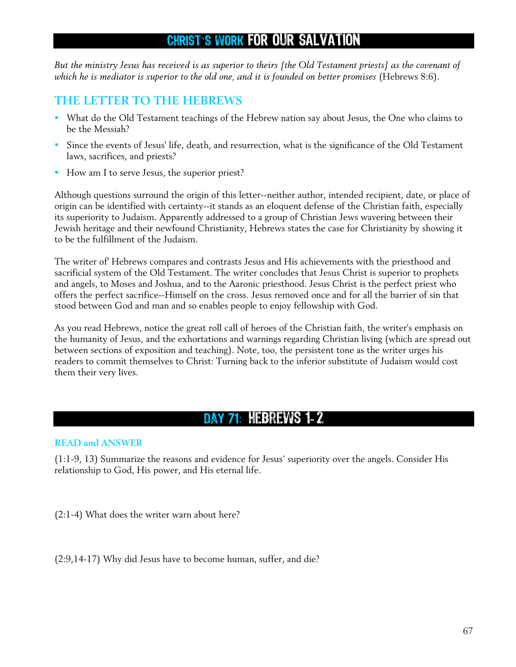## CHRIST'S WORK FOR OUR SALVATION

*But the ministry Jesus has received is as superior to theirs [the Old Testament priests] as the covenant of which he is mediator is superior to the old one, and it is founded on better promises* (Hebrews 8:6).

## **THE LETTER TO THE HEBREWS**

- What do the Old Testament teachings of the Hebrew nation say about Jesus, the One who claims to be the Messiah?
- Since the events of Jesus' life, death, and resurrection, what is the significance of the Old Testament laws, sacrifices, and priests?
- How am I to serve Jesus, the superior priest?

Although questions surround the origin of this letter--neither author, intended recipient, date, or place of origin can be identified with certainty--it stands as an eloquent defense of the Christian faith, especially its superiority to Judaism. Apparently addressed to a group of Christian Jews wavering between their Jewish heritage and their newfound Christianity, Hebrews states the case for Christianity by showing it to be the fulfillment of the Judaism.

The writer of' Hebrews compares and contrasts Jesus and His achievements with the priesthood and sacrificial system of the Old Testament. The writer concludes that Jesus Christ is superior to prophets and angels, to Moses and Joshua, and to the Aaronic priesthood. Jesus Christ is the perfect priest who offers the perfect sacrifice--Himself on the cross. Jesus removed once and for all the barrier of sin that stood between God and man and so enables people to enjoy fellowship with God.

As you read Hebrews, notice the great roll call of heroes of the Christian faith, the writer's emphasis on the humanity of Jesus, and the exhortations and warnings regarding Christian living (which are spread out between sections of exposition and teaching). Note, too, the persistent tone as the writer urges his readers to commit themselves to Christ: Turning back to the inferior substitute of Judaism would cost them their very lives.

## Day 71 : Hebrews 1- 2

### **READ and ANSWER**

(1:1-9, 13) Summarize the reasons and evidence for Jesus' superiority over the angels. Consider His relationship to God, His power, and His eternal life.

(2:1-4) What does the writer warn about here?

(2:9,14-17) Why did Jesus have to become human, suffer, and die?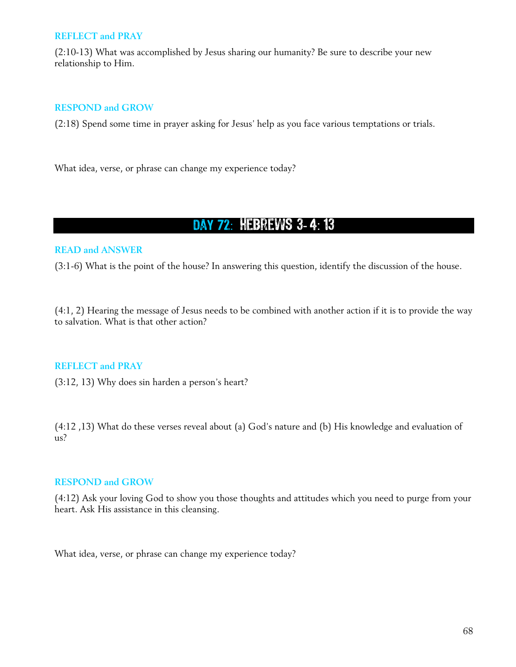#### **REFLECT and PRAY**

(2:10-13) What was accomplished by Jesus sharing our humanity? Be sure to describe your new relationship to Him.

## **RESPOND and GROW**

(2:18) Spend some time in prayer asking for Jesus' help as you face various temptations or trials.

What idea, verse, or phrase can change my experience today?

## DAY 72: HEBREWS 3-4:13

## **READ and ANSWER**

(3:1-6) What is the point of the house? In answering this question, identify the discussion of the house.

(4:1, 2) Hearing the message of Jesus needs to be combined with another action if it is to provide the way to salvation. What is that other action?

### **REFLECT and PRAY**

(3:12, 13) Why does sin harden a person's heart?

(4:12 ,13) What do these verses reveal about (a) God's nature and (b) His knowledge and evaluation of us?

### **RESPOND and GROW**

(4:12) Ask your loving God to show you those thoughts and attitudes which you need to purge from your heart. Ask His assistance in this cleansing.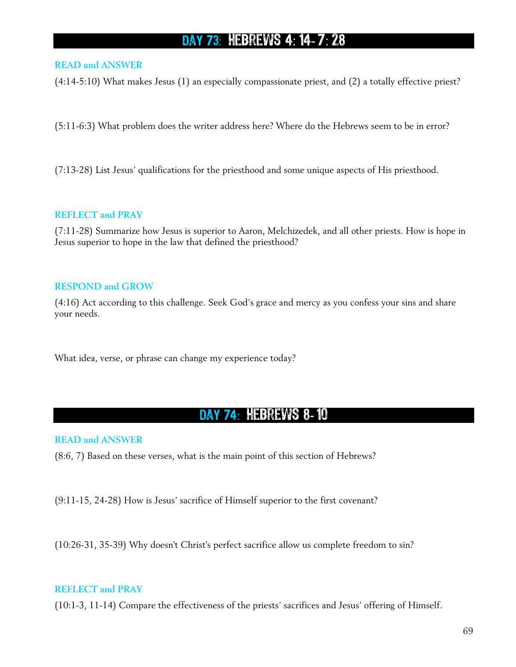# DAY 73: HEBREWS 4: 14-7: 28

### **READ and ANSWER**

(4:14-5:10) What makes Jesus (1) an especially compassionate priest, and (2) a totally effective priest?

(5:11-6:3) What problem does the writer address here? Where do the Hebrews seem to be in error?

(7:13-28) List Jesus' qualifications for the priesthood and some unique aspects of His priesthood.

#### **REFLECT and PRAY**

(7:11-28) Summarize how Jesus is superior to Aaron, Melchizedek, and all other priests. How is hope in Jesus superior to hope in the law that defined the priesthood?

### **RESPOND and GROW**

(4:16) Act according to this challenge. Seek God's grace and mercy as you confess your sins and share your needs.

What idea, verse, or phrase can change my experience today?

# DAY 74: HEBREWS 8-10

#### **READ and ANSWER**

(8:6, 7) Based on these verses, what is the main point of this section of Hebrews?

(9:11-15, 24-28) How is Jesus' sacrifice of Himself superior to the first covenant?

(10:26-31, 35-39) Why doesn't Christ's perfect sacrifice allow us complete freedom to sin?

### **REFLECT and PRAY**

(10:1-3, 11-14) Compare the effectiveness of the priests' sacrifices and Jesus' offering of Himself.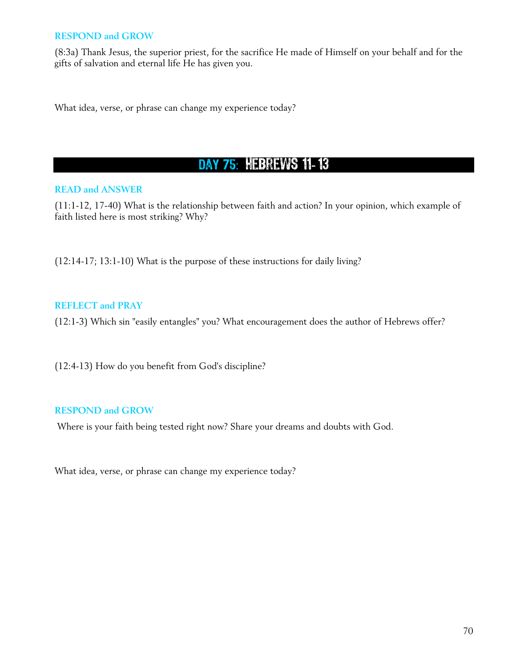(8:3a) Thank Jesus, the superior priest, for the sacrifice He made of Himself on your behalf and for the gifts of salvation and eternal life He has given you.

What idea, verse, or phrase can change my experience today?

# DAY 75: HEBREWS 11-13

## **READ and ANSWER**

(11:1-12, 17-40) What is the relationship between faith and action? In your opinion, which example of faith listed here is most striking? Why?

(12:14-17; 13:1-10) What is the purpose of these instructions for daily living?

## **REFLECT and PRAY**

(12:1-3) Which sin "easily entangles" you? What encouragement does the author of Hebrews offer?

(12:4-13) How do you benefit from God's discipline?

### **RESPOND and GROW**

Where is your faith being tested right now? Share your dreams and doubts with God.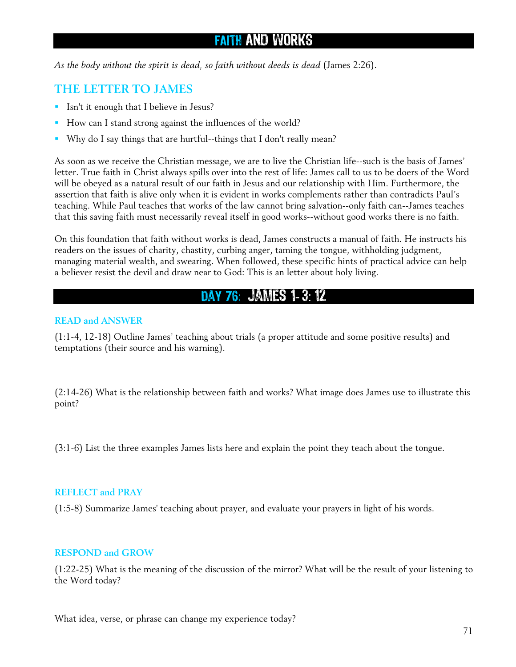# FAITH AND WORKS

*As the body without the spirit is dead, so faith without deeds is dead* (James 2:26).

## **THE LETTER TO JAMES**

- Isn't it enough that I believe in Jesus?
- How can I stand strong against the influences of the world?
- Why do I say things that are hurtful--things that I don't really mean?

As soon as we receive the Christian message, we are to live the Christian life--such is the basis of James' letter. True faith in Christ always spills over into the rest of life: James call to us to be doers of the Word will be obeyed as a natural result of our faith in Jesus and our relationship with Him. Furthermore, the assertion that faith is alive only when it is evident in works complements rather than contradicts Paul's teaching. While Paul teaches that works of the law cannot bring salvation--only faith can--James teaches that this saving faith must necessarily reveal itself in good works--without good works there is no faith.

On this foundation that faith without works is dead, James constructs a manual of faith. He instructs his readers on the issues of charity, chastity, curbing anger, taming the tongue, withholding judgment, managing material wealth, and swearing. When followed, these specific hints of practical advice can help a believer resist the devil and draw near to God: This is an letter about holy living.

## DAY 76: JAMES 1-3:12

#### **READ and ANSWER**

(1:1-4, 12-18) Outline James' teaching about trials (a proper attitude and some positive results) and temptations (their source and his warning).

(2:14-26) What is the relationship between faith and works? What image does James use to illustrate this point?

(3:1-6) List the three examples James lists here and explain the point they teach about the tongue.

#### **REFLECT and PRAY**

(1:5-8) Summarize James' teaching about prayer, and evaluate your prayers in light of his words.

#### **RESPOND and GROW**

(1:22-25) What is the meaning of the discussion of the mirror? What will be the result of your listening to the Word today?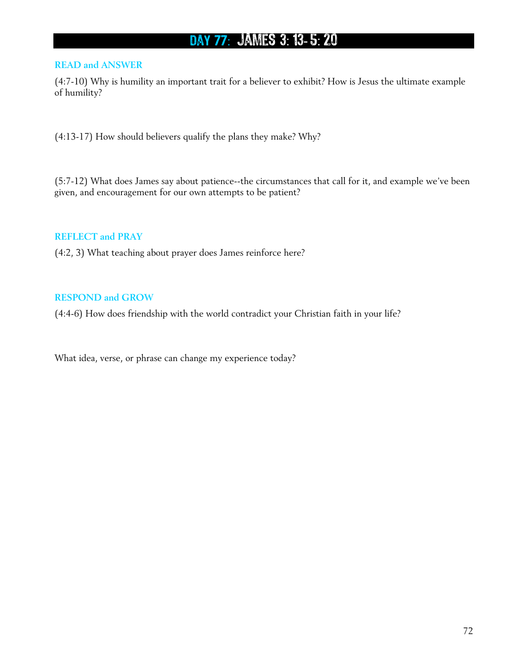# DAY 77: JAMES 3: 13-5: 20

## **READ and ANSWER**

(4:7-10) Why is humility an important trait for a believer to exhibit? How is Jesus the ultimate example of humility?

(4:13-17) How should believers qualify the plans they make? Why?

(5:7-12) What does James say about patience--the circumstances that call for it, and example we've been given, and encouragement for our own attempts to be patient?

### **REFLECT and PRAY**

(4:2, 3) What teaching about prayer does James reinforce here?

#### **RESPOND and GROW**

(4:4-6) How does friendship with the world contradict your Christian faith in your life?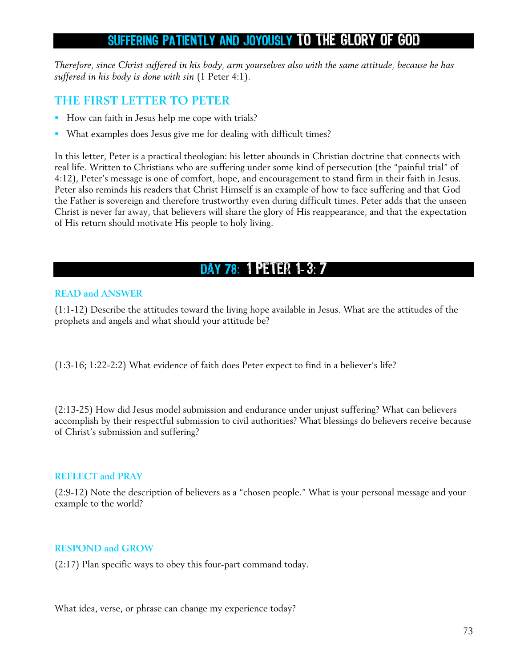# SUFFERING PATIENTLY AND JOYOUSLY TO THE GLORY OF GOD

*Therefore, since Christ suffered in his body, arm yourselves also with the same attitude, because he has suffered in his body is done with sin* (1 Peter 4:1).

### **THE FIRST LETTER TO PETER**

- How can faith in Jesus help me cope with trials?
- What examples does Jesus give me for dealing with difficult times?

In this letter, Peter is a practical theologian: his letter abounds in Christian doctrine that connects with real life. Written to Christians who are suffering under some kind of persecution (the "painful trial" of 4:12), Peter's message is one of comfort, hope, and encouragement to stand firm in their faith in Jesus. Peter also reminds his readers that Christ Himself is an example of how to face suffering and that God the Father is sovereign and therefore trustworthy even during difficult times. Peter adds that the unseen Christ is never far away, that believers will share the glory of His reappearance, and that the expectation of His return should motivate His people to holy living.

## DAY 78: 1 PETER 1-3: 7

#### **READ and ANSWER**

(1:1-12) Describe the attitudes toward the living hope available in Jesus. What are the attitudes of the prophets and angels and what should your attitude be?

(1:3-16; 1:22-2:2) What evidence of faith does Peter expect to find in a believer's life?

(2:13-25) How did Jesus model submission and endurance under unjust suffering? What can believers accomplish by their respectful submission to civil authorities? What blessings do believers receive because of Christ's submission and suffering?

### **REFLECT and PRAY**

(2:9-12) Note the description of believers as a "chosen people." What is your personal message and your example to the world?

### **RESPOND and GROW**

(2:17) Plan specific ways to obey this four-part command today.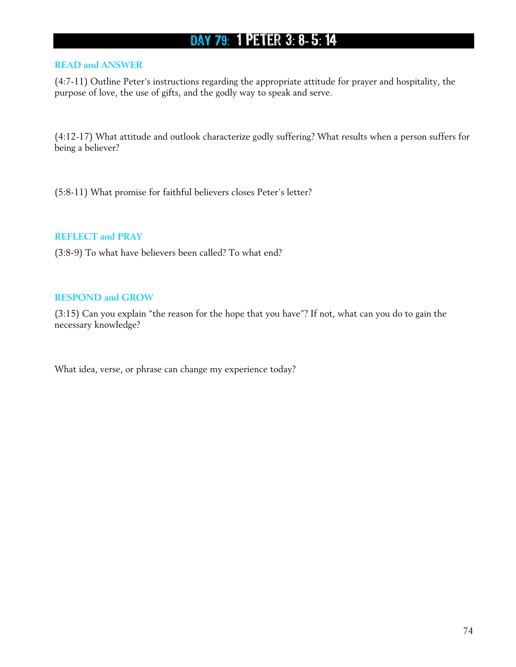# DAY 79: 1 PETER 3: 8-5: 14

### **READ and ANSWER**

(4:7-11) Outline Peter's instructions regarding the appropriate attitude for prayer and hospitality, the purpose of love, the use of gifts, and the godly way to speak and serve.

(4:12-17) What attitude and outlook characterize godly suffering? What results when a person suffers for being a believer?

(5:8-11) What promise for faithful believers closes Peter's letter?

#### **REFLECT and PRAY**

(3:8-9) To what have believers been called? To what end?

#### **RESPOND and GROW**

(3:15) Can you explain "the reason for the hope that you have"? If not, what can you do to gain the necessary knowledge?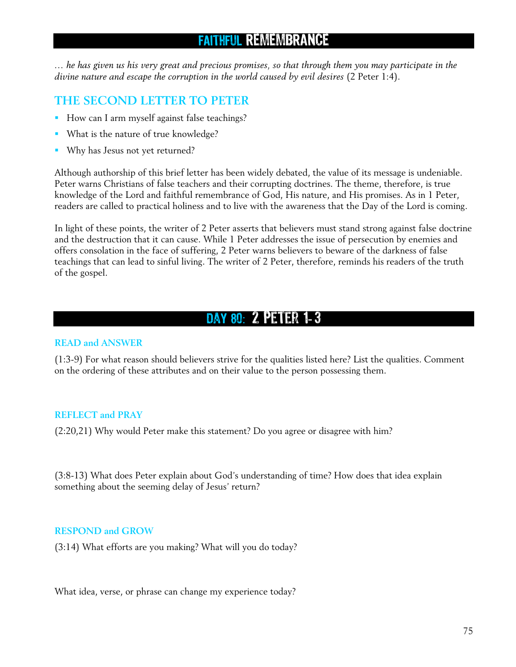# FAITHFUL REMEMBRANCE

*… he has given us his very great and precious promises, so that through them you may participate in the divine nature and escape the corruption in the world caused by evil desires* (2 Peter 1:4).

### **THE SECOND LETTER TO PETER**

- How can I arm myself against false teachings?
- What is the nature of true knowledge?
- **Why has Jesus not yet returned?**

Although authorship of this brief letter has been widely debated, the value of its message is undeniable. Peter warns Christians of false teachers and their corrupting doctrines. The theme, therefore, is true knowledge of the Lord and faithful remembrance of God, His nature, and His promises. As in 1 Peter, readers are called to practical holiness and to live with the awareness that the Day of the Lord is coming.

In light of these points, the writer of 2 Peter asserts that believers must stand strong against false doctrine and the destruction that it can cause. While 1 Peter addresses the issue of persecution by enemies and offers consolation in the face of suffering, 2 Peter warns believers to beware of the darkness of false teachings that can lead to sinful living. The writer of 2 Peter, therefore, reminds his readers of the truth of the gospel.

# DAY 80: 2 PETER 1-3

### **READ and ANSWER**

(1:3-9) For what reason should believers strive for the qualities listed here? List the qualities. Comment on the ordering of these attributes and on their value to the person possessing them.

### **REFLECT and PRAY**

(2:20,21) Why would Peter make this statement? Do you agree or disagree with him?

(3:8-13) What does Peter explain about God's understanding of time? How does that idea explain something about the seeming delay of Jesus' return?

### **RESPOND and GROW**

(3:14) What efforts are you making? What will you do today?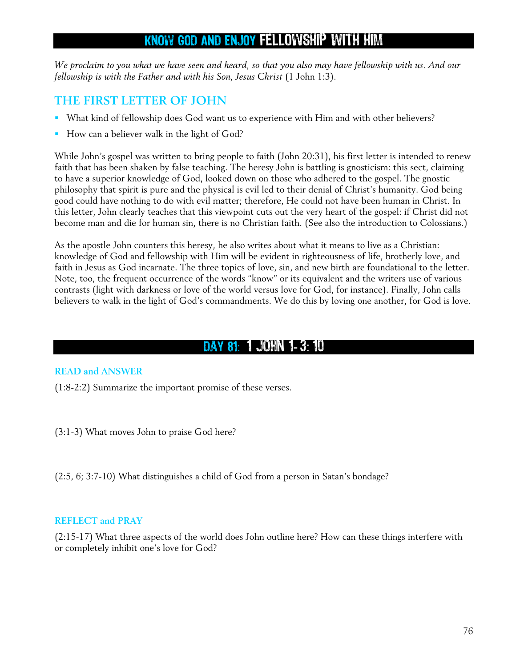# KNOW GOD AND ENJOY FELLOWSHIP WITH HIM

*We proclaim to you what we have seen and heard, so that you also may have fellowship with us. And our fellowship is with the Father and with his Son, Jesus Christ* (1 John 1:3).

### **THE FIRST LETTER OF JOHN**

- What kind of fellowship does God want us to experience with Him and with other believers?
- How can a believer walk in the light of God?

While John's gospel was written to bring people to faith (John 20:31), his first letter is intended to renew faith that has been shaken by false teaching. The heresy John is battling is gnosticism: this sect, claiming to have a superior knowledge of God, looked down on those who adhered to the gospel. The gnostic philosophy that spirit is pure and the physical is evil led to their denial of Christ's humanity. God being good could have nothing to do with evil matter; therefore, He could not have been human in Christ. In this letter, John clearly teaches that this viewpoint cuts out the very heart of the gospel: if Christ did not become man and die for human sin, there is no Christian faith. (See also the introduction to Colossians.)

As the apostle John counters this heresy, he also writes about what it means to live as a Christian: knowledge of God and fellowship with Him will be evident in righteousness of life, brotherly love, and faith in Jesus as God incarnate. The three topics of love, sin, and new birth are foundational to the letter. Note, too, the frequent occurrence of the words "know" or its equivalent and the writers use of various contrasts (light with darkness or love of the world versus love for God, for instance). Finally, John calls believers to walk in the light of God's commandments. We do this by loving one another, for God is love.

## DAY 81: 1 JOHN 1-3:10

### **READ and ANSWER**

(1:8-2:2) Summarize the important promise of these verses.

(3:1-3) What moves John to praise God here?

(2:5, 6; 3:7-10) What distinguishes a child of God from a person in Satan's bondage?

### **REFLECT and PRAY**

(2:15-17) What three aspects of the world does John outline here? How can these things interfere with or completely inhibit one's love for God?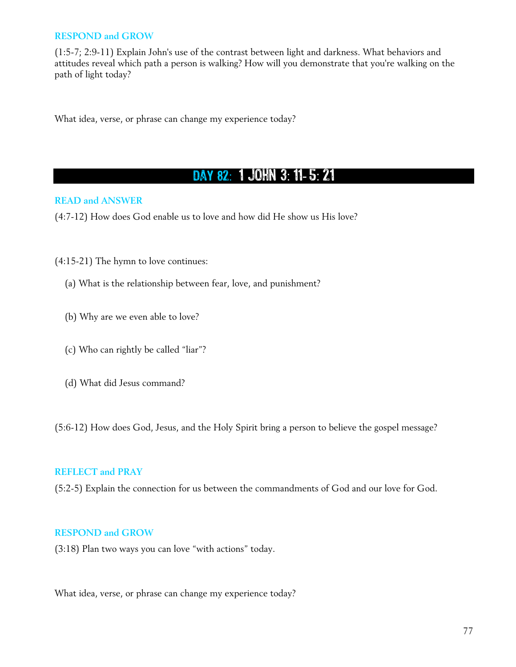### **RESPOND and GROW**

(1:5-7; 2:9-11) Explain John's use of the contrast between light and darkness. What behaviors and attitudes reveal which path a person is walking? How will you demonstrate that you're walking on the path of light today?

What idea, verse, or phrase can change my experience today?

# DAY 82: 1 JOHN 3: 11-5: 21

### **READ and ANSWER**

(4:7-12) How does God enable us to love and how did He show us His love?

- (4:15-21) The hymn to love continues:
	- (a) What is the relationship between fear, love, and punishment?
	- (b) Why are we even able to love?
	- (c) Who can rightly be called "liar"?
	- (d) What did Jesus command?

(5:6-12) How does God, Jesus, and the Holy Spirit bring a person to believe the gospel message?

### **REFLECT and PRAY**

(5:2-5) Explain the connection for us between the commandments of God and our love for God.

### **RESPOND and GROW**

(3:18) Plan two ways you can love "with actions" today.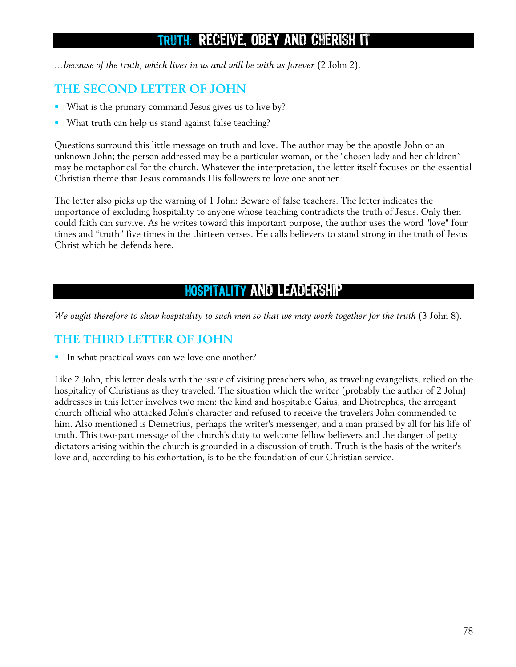# TRUTH : RECEIVE, OBEY AND CHERISH IT

*…because of the truth, which lives in us and will be with us forever* (2 John 2).

### **THE SECOND LETTER OF JOHN**

- What is the primary command Jesus gives us to live by?
- **What truth can help us stand against false teaching?**

Questions surround this little message on truth and love. The author may be the apostle John or an unknown John; the person addressed may be a particular woman, or the "chosen lady and her children" may be metaphorical for the church. Whatever the interpretation, the letter itself focuses on the essential Christian theme that Jesus commands His followers to love one another.

The letter also picks up the warning of 1 John: Beware of false teachers. The letter indicates the importance of excluding hospitality to anyone whose teaching contradicts the truth of Jesus. Only then could faith can survive. As he writes toward this important purpose, the author uses the word "love" four times and "truth" five times in the thirteen verses. He calls believers to stand strong in the truth of Jesus Christ which he defends here.

# HOSPITALITY AND LEADERSHIP

*We ought therefore to show hospitality to such men so that we may work together for the truth* (3 John 8).

### **THE THIRD LETTER OF JOHN**

In what practical ways can we love one another?

Like 2 John, this letter deals with the issue of visiting preachers who, as traveling evangelists, relied on the hospitality of Christians as they traveled. The situation which the writer (probably the author of 2 John) addresses in this letter involves two men: the kind and hospitable Gaius, and Diotrephes, the arrogant church official who attacked John's character and refused to receive the travelers John commended to him. Also mentioned is Demetrius, perhaps the writer's messenger, and a man praised by all for his life of truth. This two-part message of the church's duty to welcome fellow believers and the danger of petty dictators arising within the church is grounded in a discussion of truth. Truth is the basis of the writer's love and, according to his exhortation, is to be the foundation of our Christian service.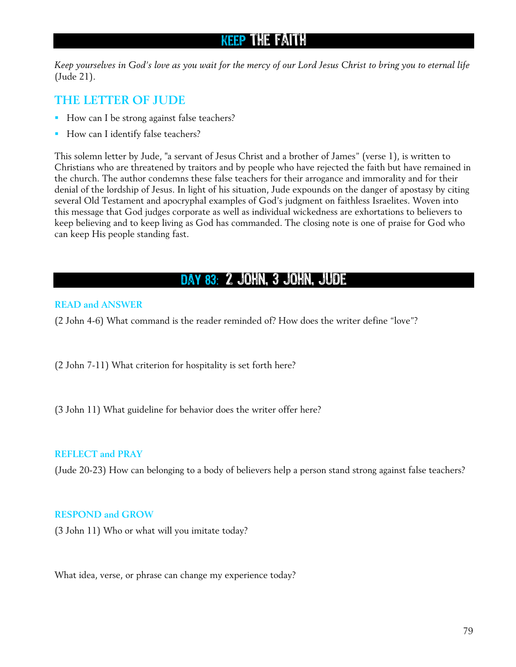# keep the faith

*Keep yourselves in God's love as you wait for the mercy of our Lord Jesus Christ to bring you to eternal life* (Jude 21).

### **THE LETTER OF JUDE**

- How can I be strong against false teachers?
- How can I identify false teachers?

This solemn letter by Jude, "a servant of Jesus Christ and a brother of James" (verse 1), is written to Christians who are threatened by traitors and by people who have rejected the faith but have remained in the church. The author condemns these false teachers for their arrogance and immorality and for their denial of the lordship of Jesus. In light of his situation, Jude expounds on the danger of apostasy by citing several Old Testament and apocryphal examples of God's judgment on faithless Israelites. Woven into this message that God judges corporate as well as individual wickedness are exhortations to believers to keep believing and to keep living as God has commanded. The closing note is one of praise for God who can keep His people standing fast.

### Day 83 : 2 John, 3 John, Jude

### **READ and ANSWER**

(2 John 4-6) What command is the reader reminded of? How does the writer define "love"?

(2 John 7-11) What criterion for hospitality is set forth here?

(3 John 11) What guideline for behavior does the writer offer here?

### **REFLECT and PRAY**

(Jude 20-23) How can belonging to a body of believers help a person stand strong against false teachers?

### **RESPOND and GROW**

(3 John 11) Who or what will you imitate today?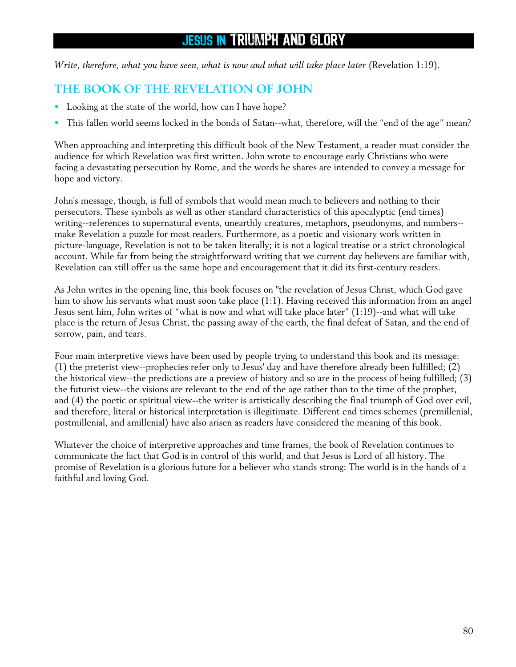# JESUS IN TRIUMPH AND GLORY

*Write, therefore, what you have seen, what is now and what will take place later* (Revelation 1:19).

### **THE BOOK OF THE REVELATION OF JOHN**

- Looking at the state of the world, how can I have hope?
- This fallen world seems locked in the bonds of Satan--what, therefore, will the "end of the age" mean?

When approaching and interpreting this difficult book of the New Testament, a reader must consider the audience for which Revelation was first written. John wrote to encourage early Christians who were facing a devastating persecution by Rome, and the words he shares are intended to convey a message for hope and victory.

John's message, though, is full of symbols that would mean much to believers and nothing to their persecutors. These symbols as well as other standard characteristics of this apocalyptic (end times) writing--references to supernatural events, unearthly creatures, metaphors, pseudonyms, and numbers- make Revelation a puzzle for most readers. Furthermore, as a poetic and visionary work written in picture-language, Revelation is not to be taken literally; it is not a logical treatise or a strict chronological account. While far from being the straightforward writing that we current day believers are familiar with, Revelation can still offer us the same hope and encouragement that it did its first-century readers.

As John writes in the opening line, this book focuses on "the revelation of Jesus Christ, which God gave him to show his servants what must soon take place (1:1). Having received this information from an angel Jesus sent him, John writes of "what is now and what will take place later" (1:19)--and what will take place is the return of Jesus Christ, the passing away of the earth, the final defeat of Satan, and the end of sorrow, pain, and tears.

Four main interpretive views have been used by people trying to understand this book and its message: (1) the preterist view--prophecies refer only to Jesus' day and have therefore already been fulfilled; (2) the historical view--the predictions are a preview of history and so are in the process of being fulfilled; (3) the futurist view--the visions are relevant to the end of the age rather than to the time of the prophet, and (4) the poetic or spiritual view--the writer is artistically describing the final triumph of God over evil, and therefore, literal or historical interpretation is illegitimate. Different end times schemes (premillenial, postmillenial, and amillenial) have also arisen as readers have considered the meaning of this book.

Whatever the choice of interpretive approaches and time frames, the book of Revelation continues to communicate the fact that God is in control of this world, and that Jesus is Lord of all history. The promise of Revelation is a glorious future for a believer who stands strong: The world is in the hands of a faithful and loving God.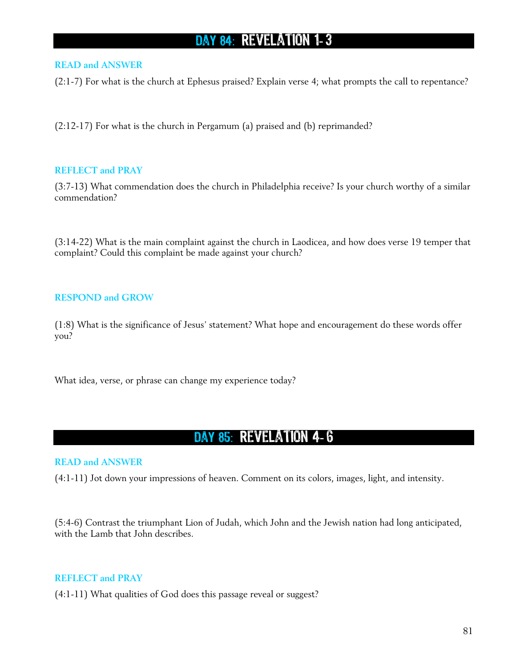# DAY 84: REVELATION 1-3

### **READ and ANSWER**

(2:1-7) For what is the church at Ephesus praised? Explain verse 4; what prompts the call to repentance?

(2:12-17) For what is the church in Pergamum (a) praised and (b) reprimanded?

### **REFLECT and PRAY**

(3:7-13) What commendation does the church in Philadelphia receive? Is your church worthy of a similar commendation?

(3:14-22) What is the main complaint against the church in Laodicea, and how does verse 19 temper that complaint? Could this complaint be made against your church?

### **RESPOND and GROW**

(1:8) What is the significance of Jesus' statement? What hope and encouragement do these words offer you?

What idea, verse, or phrase can change my experience today?

## Day 85 : Revelation 4- 6

#### **READ and ANSWER**

(4:1-11) Jot down your impressions of heaven. Comment on its colors, images, light, and intensity.

(5:4-6) Contrast the triumphant Lion of Judah, which John and the Jewish nation had long anticipated, with the Lamb that John describes.

#### **REFLECT and PRAY**

(4:1-11) What qualities of God does this passage reveal or suggest?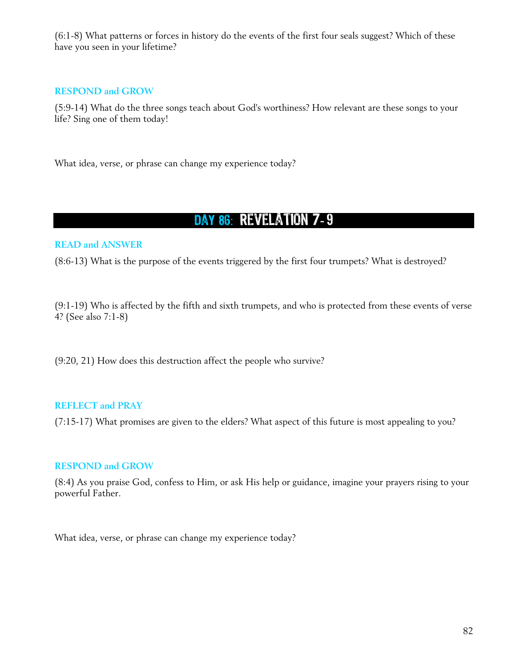(6:1-8) What patterns or forces in history do the events of the first four seals suggest? Which of these have you seen in your lifetime?

### **RESPOND and GROW**

(5:9-14) What do the three songs teach about God's worthiness? How relevant are these songs to your life? Sing one of them today!

What idea, verse, or phrase can change my experience today?

# DAY 86: REVELATION 7-9

### **READ and ANSWER**

(8:6-13) What is the purpose of the events triggered by the first four trumpets? What is destroyed?

(9:1-19) Who is affected by the fifth and sixth trumpets, and who is protected from these events of verse 4? (See also 7:1-8)

(9:20, 21) How does this destruction affect the people who survive?

### **REFLECT and PRAY**

(7:15-17) What promises are given to the elders? What aspect of this future is most appealing to you?

### **RESPOND and GROW**

(8:4) As you praise God, confess to Him, or ask His help or guidance, imagine your prayers rising to your powerful Father.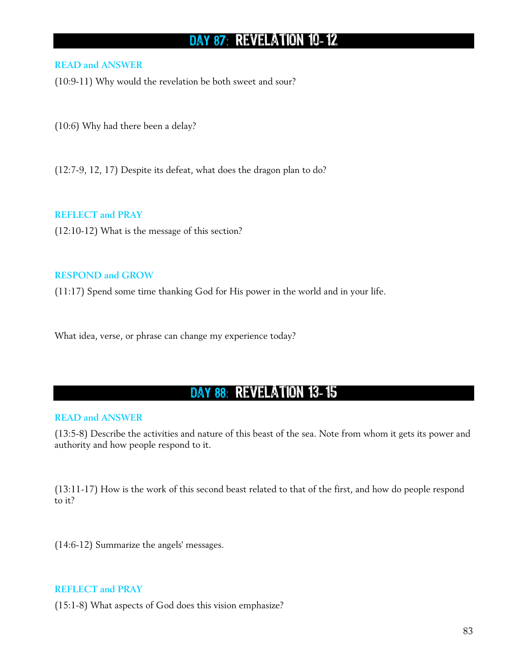# DAY 87: REVELATION 10-12

### **READ and ANSWER**

(10:9-11) Why would the revelation be both sweet and sour?

(10:6) Why had there been a delay?

(12:7-9, 12, 17) Despite its defeat, what does the dragon plan to do?

**REFLECT and PRAY** 

(12:10-12) What is the message of this section?

#### **RESPOND and GROW**

(11:17) Spend some time thanking God for His power in the world and in your life.

What idea, verse, or phrase can change my experience today?

### DAY 88: REVELATION 13-15

#### **READ and ANSWER**

(13:5-8) Describe the activities and nature of this beast of the sea. Note from whom it gets its power and authority and how people respond to it.

(13:11-17) How is the work of this second beast related to that of the first, and how do people respond to it?

(14:6-12) Summarize the angels' messages.

### **REFLECT and PRAY**

(15:1-8) What aspects of God does this vision emphasize?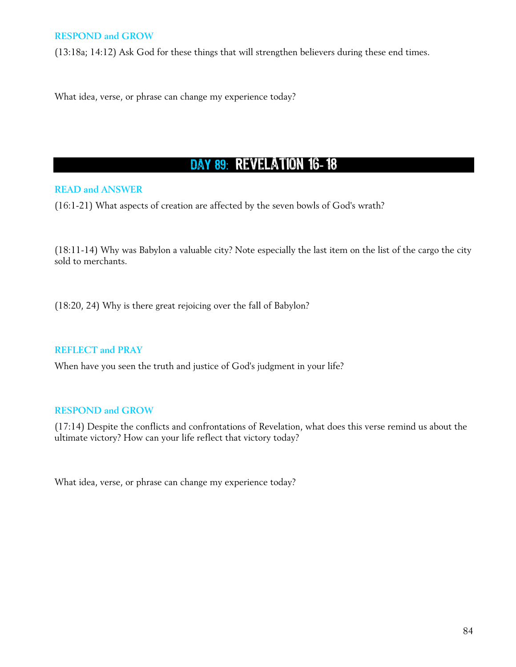### **RESPOND and GROW**

(13:18a; 14:12) Ask God for these things that will strengthen believers during these end times.

What idea, verse, or phrase can change my experience today?

# DAY 89: REVELATION 16-18

### **READ and ANSWER**

(16:1-21) What aspects of creation are affected by the seven bowls of God's wrath?

(18:11-14) Why was Babylon a valuable city? Note especially the last item on the list of the cargo the city sold to merchants.

(18:20, 24) Why is there great rejoicing over the fall of Babylon?

#### **REFLECT and PRAY**

When have you seen the truth and justice of God's judgment in your life?

### **RESPOND and GROW**

(17:14) Despite the conflicts and confrontations of Revelation, what does this verse remind us about the ultimate victory? How can your life reflect that victory today?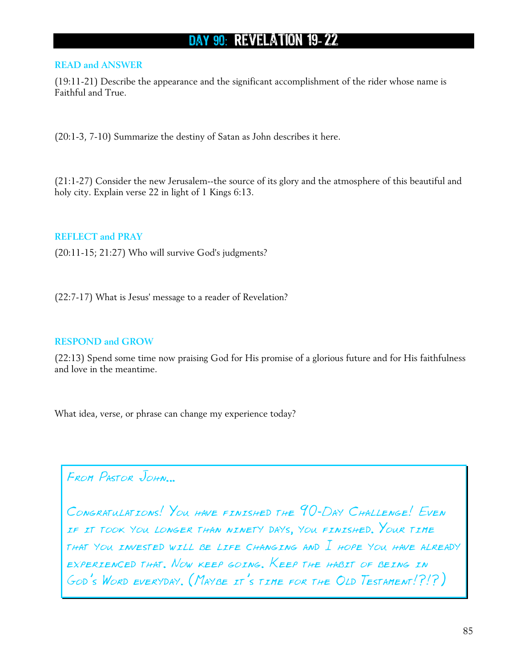# DAY 90: REVELATION 19-22

#### **READ and ANSWER**

(19:11-21) Describe the appearance and the significant accomplishment of the rider whose name is Faithful and True.

(20:1-3, 7-10) Summarize the destiny of Satan as John describes it here.

(21:1-27) Consider the new Jerusalem--the source of its glory and the atmosphere of this beautiful and holy city. Explain verse 22 in light of 1 Kings 6:13.

#### **REFLECT and PRAY**

(20:11-15; 21:27) Who will survive God's judgments?

(22:7-17) What is Jesus' message to a reader of Revelation?

### **RESPOND and GROW**

(22:13) Spend some time now praising God for His promise of a glorious future and for His faithfulness and love in the meantime.

What idea, verse, or phrase can change my experience today?

From Pastor John…

CONGRATULATIONS! YOU HAVE FINISHED THE 90-DAY CHALLENGE! EVEN if it took you longer than ninety days, you finished. Your time that you invested will be life changing and I hope you have already experienced that. Now keep going. Keep the habit of being in GOD'S WORD EVERYDAY. (MAYBE IT'S TIME FOR THE OLD TESTAMENT!?!?)